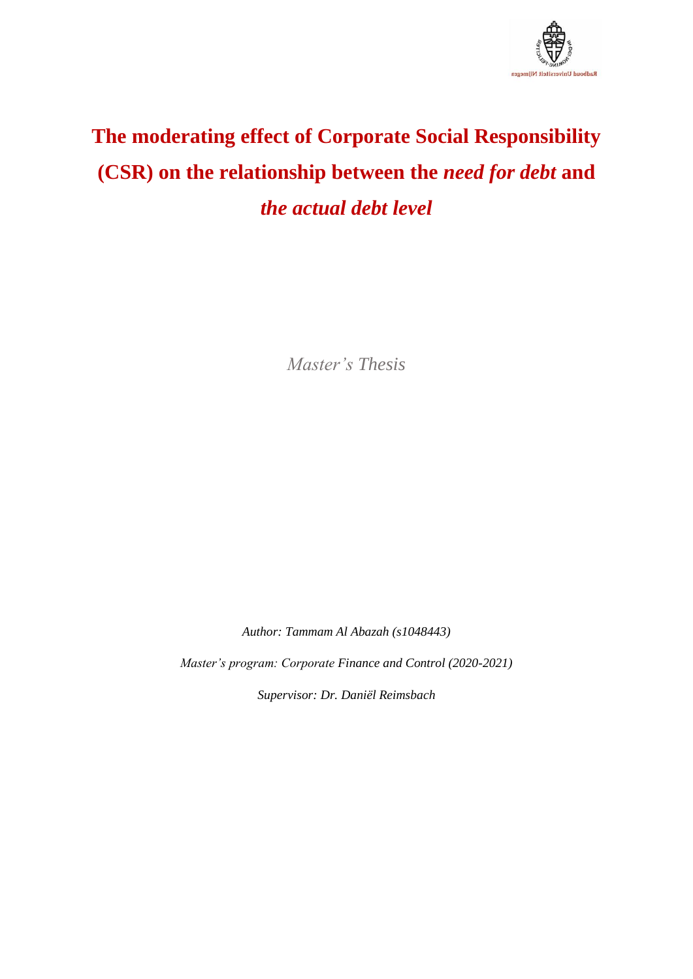

# **The moderating effect of Corporate Social Responsibility (CSR) on the relationship between the** *need for debt* **and**  *the actual debt level*

*Master's Thesis*

*Author: Tammam Al Abazah (s1048443)*

*Master's program: Corporate Finance and Control (2020-2021)*

*Supervisor: Dr. Daniël Reimsbach*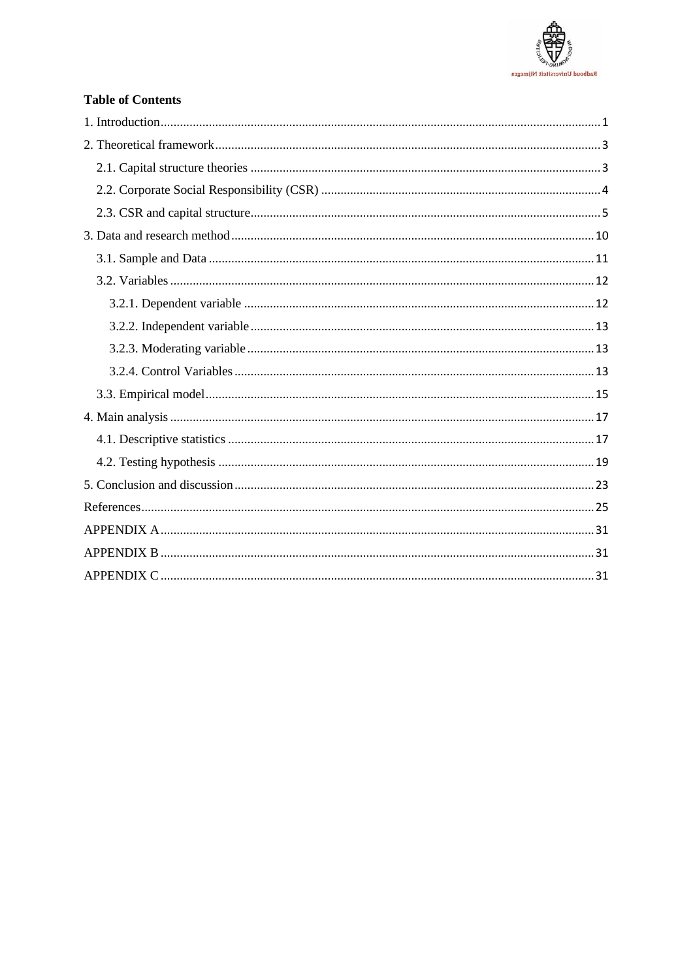

# **Table of Contents**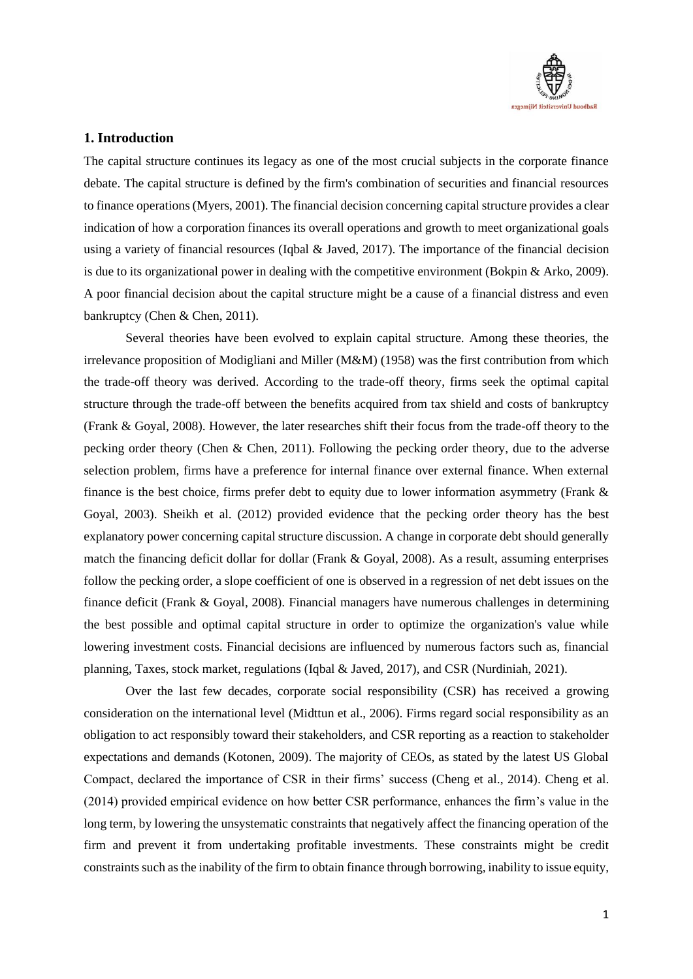

# <span id="page-2-0"></span>**1. Introduction**

The capital structure continues its legacy as one of the most crucial subjects in the corporate finance debate. The capital structure is defined by the firm's combination of securities and financial resources to finance operations (Myers, 2001). The financial decision concerning capital structure provides a clear indication of how a corporation finances its overall operations and growth to meet organizational goals using a variety of financial resources (Iqbal & Javed, 2017). The importance of the financial decision is due to its organizational power in dealing with the competitive environment (Bokpin & Arko, 2009). A poor financial decision about the capital structure might be a cause of a financial distress and even bankruptcy (Chen & Chen, 2011).

Several theories have been evolved to explain capital structure. Among these theories, the irrelevance proposition of Modigliani and Miller (M&M) (1958) was the first contribution from which the trade-off theory was derived. According to the trade-off theory, firms seek the optimal capital structure through the trade-off between the benefits acquired from tax shield and costs of bankruptcy (Frank & Goyal, 2008). However, the later researches shift their focus from the trade-off theory to the pecking order theory (Chen & Chen, 2011). Following the pecking order theory, due to the adverse selection problem, firms have a preference for internal finance over external finance. When external finance is the best choice, firms prefer debt to equity due to lower information asymmetry (Frank & Goyal, 2003). Sheikh et al. (2012) provided evidence that the pecking order theory has the best explanatory power concerning capital structure discussion. A change in corporate debt should generally match the financing deficit dollar for dollar (Frank & Goyal, 2008). As a result, assuming enterprises follow the pecking order, a slope coefficient of one is observed in a regression of net debt issues on the finance deficit (Frank & Goyal, 2008). Financial managers have numerous challenges in determining the best possible and optimal capital structure in order to optimize the organization's value while lowering investment costs. Financial decisions are influenced by numerous factors such as, financial planning, Taxes, stock market, regulations (Iqbal & Javed, 2017), and CSR (Nurdiniah, 2021).

Over the last few decades, corporate social responsibility (CSR) has received a growing consideration on the international level (Midttun et al., 2006). Firms regard social responsibility as an obligation to act responsibly toward their stakeholders, and CSR reporting as a reaction to stakeholder expectations and demands (Kotonen, 2009). The majority of CEOs, as stated by the latest US Global Compact, declared the importance of CSR in their firms' success (Cheng et al., 2014). Cheng et al. (2014) provided empirical evidence on how better CSR performance, enhances the firm's value in the long term, by lowering the unsystematic constraints that negatively affect the financing operation of the firm and prevent it from undertaking profitable investments. These constraints might be credit constraints such as the inability of the firm to obtain finance through borrowing, inability to issue equity,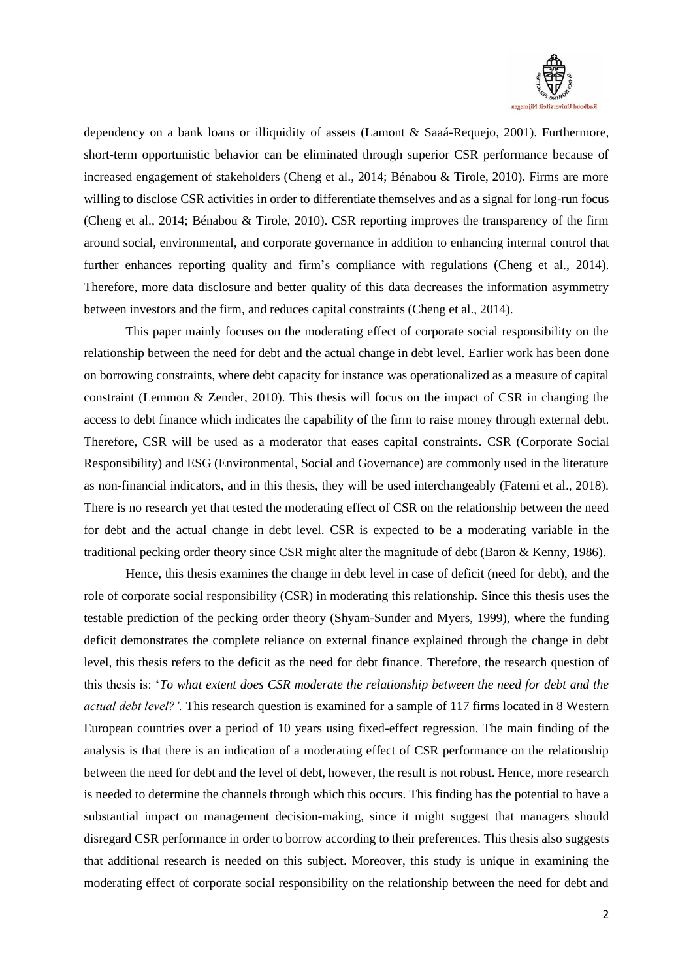

dependency on a bank loans or illiquidity of assets (Lamont & Saaá-Requejo, 2001). Furthermore, short-term opportunistic behavior can be eliminated through superior CSR performance because of increased engagement of stakeholders (Cheng et al., 2014; Bénabou & Tirole, 2010). Firms are more willing to disclose CSR activities in order to differentiate themselves and as a signal for long-run focus (Cheng et al., 2014; Bénabou & Tirole, 2010). CSR reporting improves the transparency of the firm around social, environmental, and corporate governance in addition to enhancing internal control that further enhances reporting quality and firm's compliance with regulations (Cheng et al., 2014). Therefore, more data disclosure and better quality of this data decreases the information asymmetry between investors and the firm, and reduces capital constraints (Cheng et al., 2014).

This paper mainly focuses on the moderating effect of corporate social responsibility on the relationship between the need for debt and the actual change in debt level. Earlier work has been done on borrowing constraints, where debt capacity for instance was operationalized as a measure of capital constraint (Lemmon & Zender, 2010). This thesis will focus on the impact of CSR in changing the access to debt finance which indicates the capability of the firm to raise money through external debt. Therefore, CSR will be used as a moderator that eases capital constraints. CSR (Corporate Social Responsibility) and ESG (Environmental, Social and Governance) are commonly used in the literature as non-financial indicators, and in this thesis, they will be used interchangeably (Fatemi et al., 2018). There is no research yet that tested the moderating effect of CSR on the relationship between the need for debt and the actual change in debt level. CSR is expected to be a moderating variable in the traditional pecking order theory since CSR might alter the magnitude of debt (Baron & Kenny, 1986).

Hence, this thesis examines the change in debt level in case of deficit (need for debt), and the role of corporate social responsibility (CSR) in moderating this relationship. Since this thesis uses the testable prediction of the pecking order theory (Shyam-Sunder and Myers, 1999), where the funding deficit demonstrates the complete reliance on external finance explained through the change in debt level, this thesis refers to the deficit as the need for debt finance. Therefore, the research question of this thesis is: '*To what extent does CSR moderate the relationship between the need for debt and the actual debt level?'.* This research question is examined for a sample of 117 firms located in 8 Western European countries over a period of 10 years using fixed-effect regression. The main finding of the analysis is that there is an indication of a moderating effect of CSR performance on the relationship between the need for debt and the level of debt, however, the result is not robust. Hence, more research is needed to determine the channels through which this occurs. This finding has the potential to have a substantial impact on management decision-making, since it might suggest that managers should disregard CSR performance in order to borrow according to their preferences. This thesis also suggests that additional research is needed on this subject. Moreover, this study is unique in examining the moderating effect of corporate social responsibility on the relationship between the need for debt and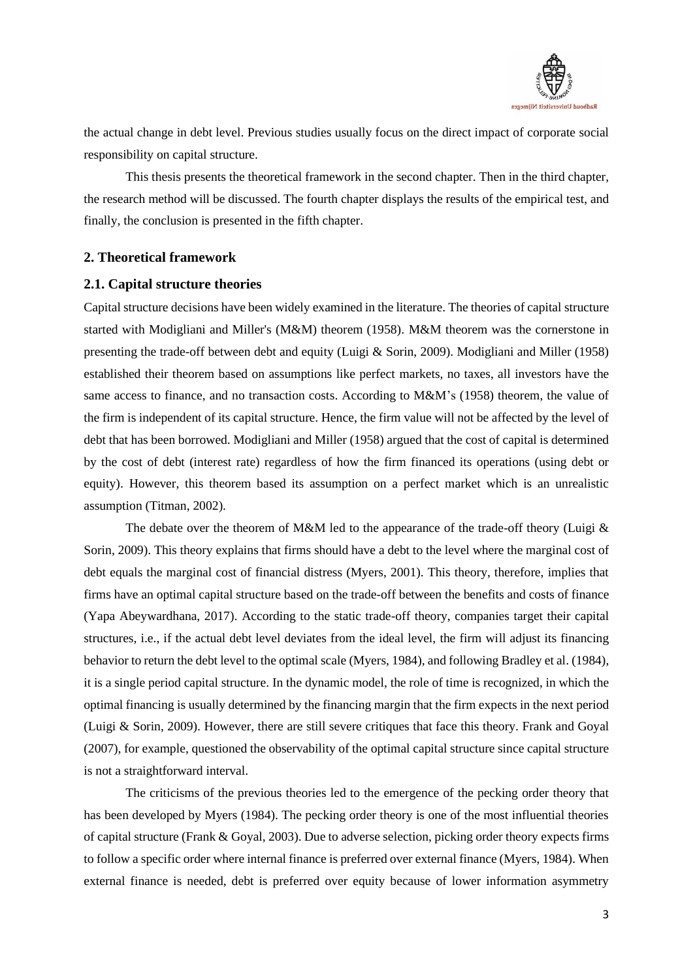

the actual change in debt level. Previous studies usually focus on the direct impact of corporate social responsibility on capital structure.

This thesis presents the theoretical framework in the second chapter. Then in the third chapter, the research method will be discussed. The fourth chapter displays the results of the empirical test, and finally, the conclusion is presented in the fifth chapter.

### <span id="page-4-0"></span>**2. Theoretical framework**

### <span id="page-4-1"></span>**2.1. Capital structure theories**

Capital structure decisions have been widely examined in the literature. The theories of capital structure started with Modigliani and Miller's (M&M) theorem (1958). M&M theorem was the cornerstone in presenting the trade-off between debt and equity (Luigi & Sorin, 2009). Modigliani and Miller (1958) established their theorem based on assumptions like perfect markets, no taxes, all investors have the same access to finance, and no transaction costs. According to M&M's (1958) theorem, the value of the firm is independent of its capital structure. Hence, the firm value will not be affected by the level of debt that has been borrowed. Modigliani and Miller (1958) argued that the cost of capital is determined by the cost of debt (interest rate) regardless of how the firm financed its operations (using debt or equity). However, this theorem based its assumption on a perfect market which is an unrealistic assumption (Titman, 2002).

The debate over the theorem of M&M led to the appearance of the trade-off theory (Luigi  $\&$ Sorin, 2009). This theory explains that firms should have a debt to the level where the marginal cost of debt equals the marginal cost of financial distress (Myers, 2001). This theory, therefore, implies that firms have an optimal capital structure based on the trade-off between the benefits and costs of finance (Yapa Abeywardhana, 2017). According to the static trade-off theory, companies target their capital structures, i.e., if the actual debt level deviates from the ideal level, the firm will adjust its financing behavior to return the debt level to the optimal scale (Myers, 1984), and following Bradley et al. (1984), it is a single period capital structure. In the dynamic model, the role of time is recognized, in which the optimal financing is usually determined by the financing margin that the firm expects in the next period (Luigi & Sorin, 2009). However, there are still severe critiques that face this theory. Frank and Goyal (2007), for example, questioned the observability of the optimal capital structure since capital structure is not a straightforward interval.

The criticisms of the previous theories led to the emergence of the pecking order theory that has been developed by Myers (1984). The pecking order theory is one of the most influential theories of capital structure (Frank & Goyal, 2003). Due to adverse selection, picking order theory expects firms to follow a specific order where internal finance is preferred over external finance (Myers, 1984). When external finance is needed, debt is preferred over equity because of lower information asymmetry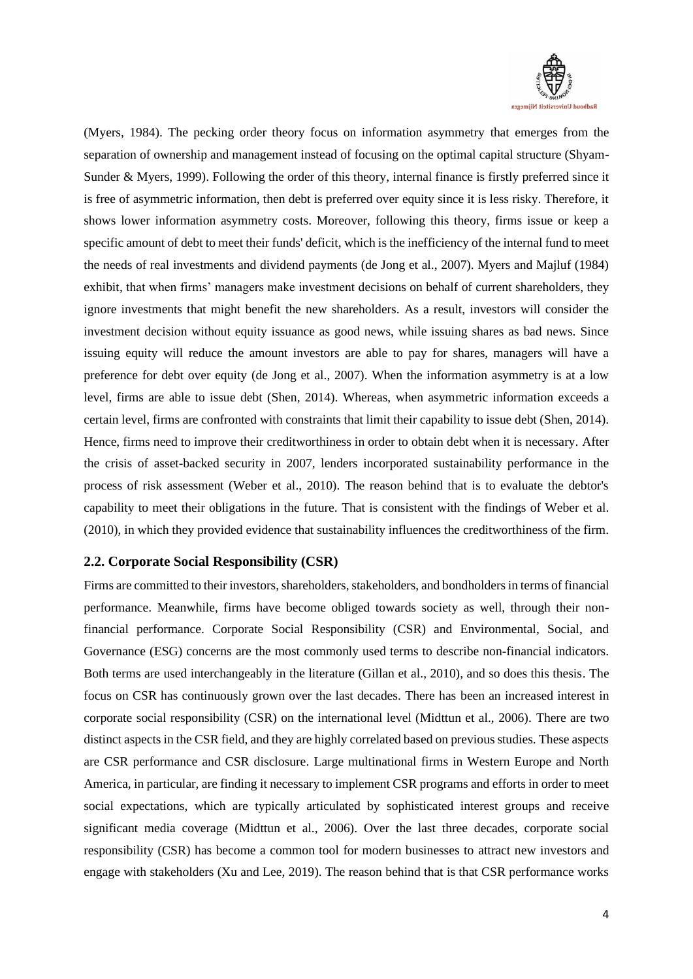

(Myers, 1984). The pecking order theory focus on information asymmetry that emerges from the separation of ownership and management instead of focusing on the optimal capital structure (Shyam-Sunder & Myers, 1999). Following the order of this theory, internal finance is firstly preferred since it is free of asymmetric information, then debt is preferred over equity since it is less risky. Therefore, it shows lower information asymmetry costs. Moreover, following this theory, firms issue or keep a specific amount of debt to meet their funds' deficit, which is the inefficiency of the internal fund to meet the needs of real investments and dividend payments (de Jong et al., 2007). Myers and Majluf (1984) exhibit, that when firms' managers make investment decisions on behalf of current shareholders, they ignore investments that might benefit the new shareholders. As a result, investors will consider the investment decision without equity issuance as good news, while issuing shares as bad news. Since issuing equity will reduce the amount investors are able to pay for shares, managers will have a preference for debt over equity (de Jong et al., 2007). When the information asymmetry is at a low level, firms are able to issue debt (Shen, 2014). Whereas, when asymmetric information exceeds a certain level, firms are confronted with constraints that limit their capability to issue debt (Shen, 2014). Hence, firms need to improve their creditworthiness in order to obtain debt when it is necessary. After the crisis of asset-backed security in 2007, lenders incorporated sustainability performance in the process of risk assessment (Weber et al., 2010). The reason behind that is to evaluate the debtor's capability to meet their obligations in the future. That is consistent with the findings of Weber et al. (2010), in which they provided evidence that sustainability influences the creditworthiness of the firm.

### <span id="page-5-0"></span>**2.2. Corporate Social Responsibility (CSR)**

Firms are committed to their investors, shareholders, stakeholders, and bondholders in terms of financial performance. Meanwhile, firms have become obliged towards society as well, through their nonfinancial performance. Corporate Social Responsibility (CSR) and Environmental, Social, and Governance (ESG) concerns are the most commonly used terms to describe non-financial indicators. Both terms are used interchangeably in the literature (Gillan et al., 2010), and so does this thesis. The focus on CSR has continuously grown over the last decades. There has been an increased interest in corporate social responsibility (CSR) on the international level (Midttun et al., 2006). There are two distinct aspects in the CSR field, and they are highly correlated based on previous studies. These aspects are CSR performance and CSR disclosure. Large multinational firms in Western Europe and North America, in particular, are finding it necessary to implement CSR programs and efforts in order to meet social expectations, which are typically articulated by sophisticated interest groups and receive significant media coverage (Midttun et al., 2006). Over the last three decades, corporate social responsibility (CSR) has become a common tool for modern businesses to attract new investors and engage with stakeholders (Xu and Lee, 2019). The reason behind that is that CSR performance works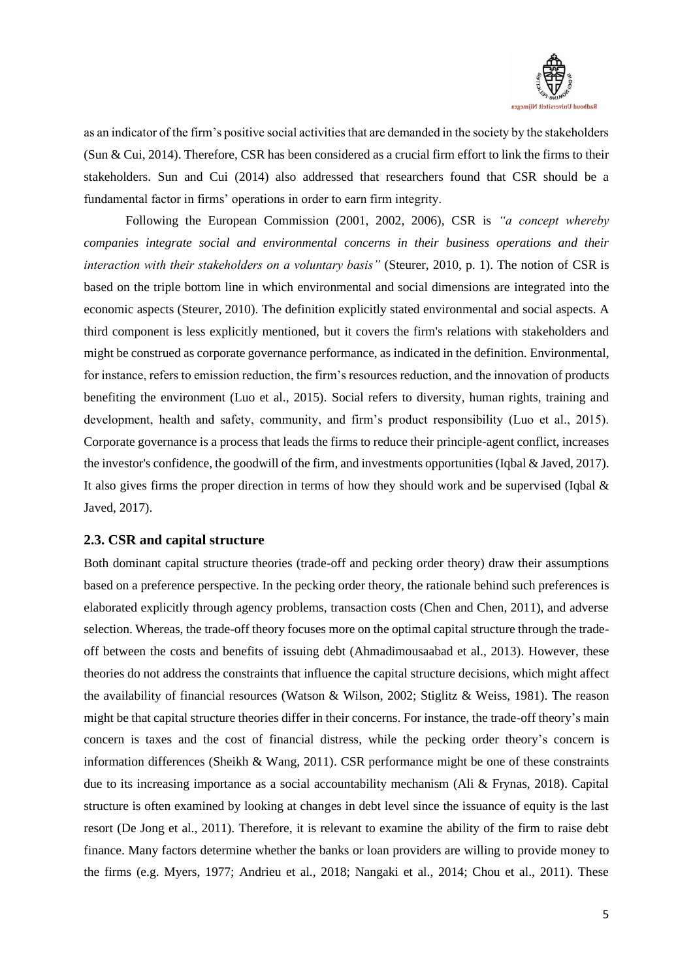

as an indicator of the firm's positive social activities that are demanded in the society by the stakeholders (Sun & Cui, 2014). Therefore, CSR has been considered as a crucial firm effort to link the firms to their stakeholders. Sun and Cui (2014) also addressed that researchers found that CSR should be a fundamental factor in firms' operations in order to earn firm integrity.

Following the European Commission (2001, 2002, 2006), CSR is *"a concept whereby companies integrate social and environmental concerns in their business operations and their interaction with their stakeholders on a voluntary basis"* (Steurer, 2010, p. 1). The notion of CSR is based on the triple bottom line in which environmental and social dimensions are integrated into the economic aspects (Steurer, 2010). The definition explicitly stated environmental and social aspects. A third component is less explicitly mentioned, but it covers the firm's relations with stakeholders and might be construed as corporate governance performance, as indicated in the definition. Environmental, for instance, refers to emission reduction, the firm's resources reduction, and the innovation of products benefiting the environment (Luo et al., 2015). Social refers to diversity, human rights, training and development, health and safety, community, and firm's product responsibility (Luo et al., 2015). Corporate governance is a process that leads the firms to reduce their principle-agent conflict, increases the investor's confidence, the goodwill of the firm, and investments opportunities (Iqbal & Javed, 2017). It also gives firms the proper direction in terms of how they should work and be supervised (Iqbal  $\&$ Javed, 2017).

### <span id="page-6-0"></span>**2.3. CSR and capital structure**

Both dominant capital structure theories (trade-off and pecking order theory) draw their assumptions based on a preference perspective. In the pecking order theory, the rationale behind such preferences is elaborated explicitly through agency problems, transaction costs (Chen and Chen, 2011), and adverse selection. Whereas, the trade-off theory focuses more on the optimal capital structure through the tradeoff between the costs and benefits of issuing debt (Ahmadimousaabad et al., 2013). However, these theories do not address the constraints that influence the capital structure decisions, which might affect the availability of financial resources (Watson & Wilson, 2002; Stiglitz & Weiss, 1981). The reason might be that capital structure theories differ in their concerns. For instance, the trade-off theory's main concern is taxes and the cost of financial distress, while the pecking order theory's concern is information differences (Sheikh & Wang, 2011). CSR performance might be one of these constraints due to its increasing importance as a social accountability mechanism (Ali & Frynas, 2018). Capital structure is often examined by looking at changes in debt level since the issuance of equity is the last resort (De Jong et al., 2011). Therefore, it is relevant to examine the ability of the firm to raise debt finance. Many factors determine whether the banks or loan providers are willing to provide money to the firms (e.g. Myers, 1977; Andrieu et al., 2018; Nangaki et al., 2014; Chou et al., 2011). These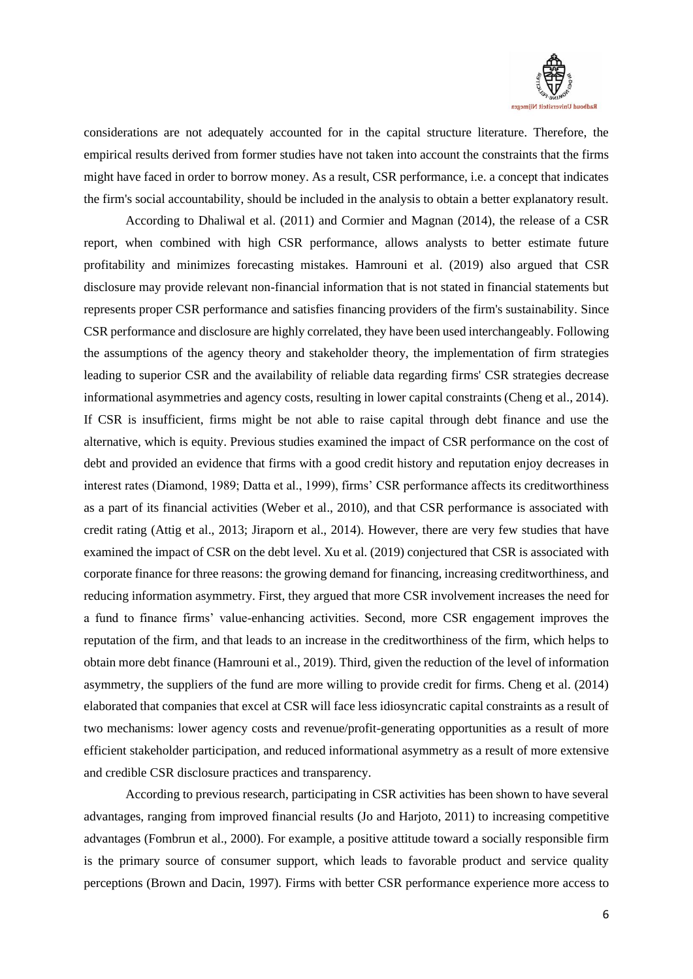

considerations are not adequately accounted for in the capital structure literature. Therefore, the empirical results derived from former studies have not taken into account the constraints that the firms might have faced in order to borrow money. As a result, CSR performance, i.e. a concept that indicates the firm's social accountability, should be included in the analysis to obtain a better explanatory result.

According to Dhaliwal et al. (2011) and Cormier and Magnan (2014), the release of a CSR report, when combined with high CSR performance, allows analysts to better estimate future profitability and minimizes forecasting mistakes. Hamrouni et al. (2019) also argued that CSR disclosure may provide relevant non-financial information that is not stated in financial statements but represents proper CSR performance and satisfies financing providers of the firm's sustainability. Since CSR performance and disclosure are highly correlated, they have been used interchangeably. Following the assumptions of the agency theory and stakeholder theory, the implementation of firm strategies leading to superior CSR and the availability of reliable data regarding firms' CSR strategies decrease informational asymmetries and agency costs, resulting in lower capital constraints (Cheng et al., 2014). If CSR is insufficient, firms might be not able to raise capital through debt finance and use the alternative, which is equity. Previous studies examined the impact of CSR performance on the cost of debt and provided an evidence that firms with a good credit history and reputation enjoy decreases in interest rates (Diamond, 1989; Datta et al., 1999), firms' CSR performance affects its creditworthiness as a part of its financial activities (Weber et al., 2010), and that CSR performance is associated with credit rating (Attig et al., 2013; Jiraporn et al., 2014). However, there are very few studies that have examined the impact of CSR on the debt level. Xu et al. (2019) conjectured that CSR is associated with corporate finance for three reasons: the growing demand for financing, increasing creditworthiness, and reducing information asymmetry. First, they argued that more CSR involvement increases the need for a fund to finance firms' value-enhancing activities. Second, more CSR engagement improves the reputation of the firm, and that leads to an increase in the creditworthiness of the firm, which helps to obtain more debt finance (Hamrouni et al., 2019). Third, given the reduction of the level of information asymmetry, the suppliers of the fund are more willing to provide credit for firms. Cheng et al. (2014) elaborated that companies that excel at CSR will face less idiosyncratic capital constraints as a result of two mechanisms: lower agency costs and revenue/profit-generating opportunities as a result of more efficient stakeholder participation, and reduced informational asymmetry as a result of more extensive and credible CSR disclosure practices and transparency.

According to previous research, participating in CSR activities has been shown to have several advantages, ranging from improved financial results (Jo and Harjoto, 2011) to increasing competitive advantages (Fombrun et al., 2000). For example, a positive attitude toward a socially responsible firm is the primary source of consumer support, which leads to favorable product and service quality perceptions (Brown and Dacin, 1997). Firms with better CSR performance experience more access to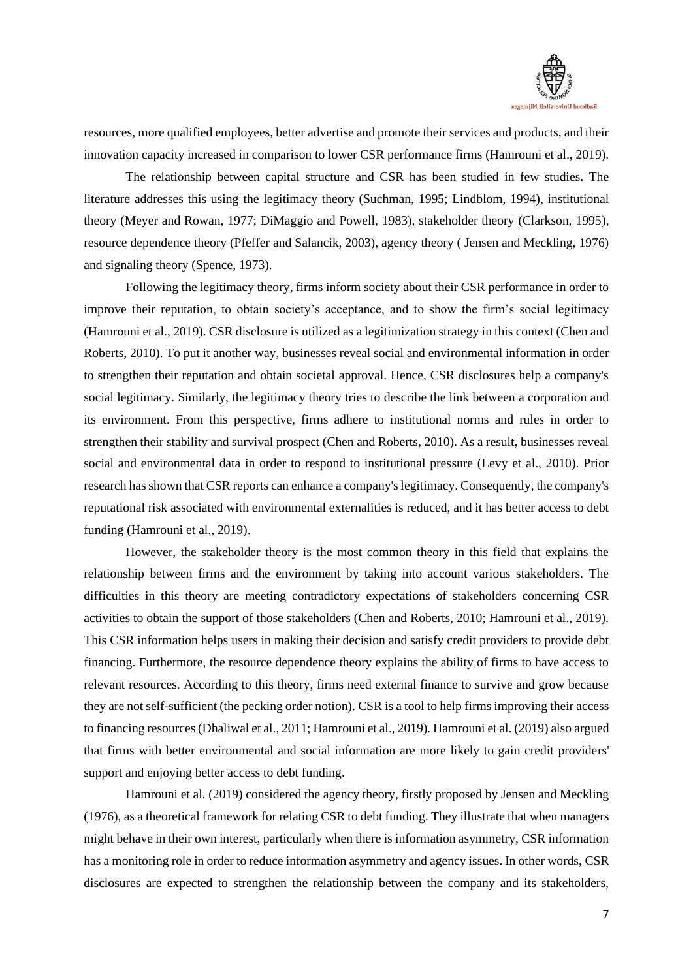

resources, more qualified employees, better advertise and promote their services and products, and their innovation capacity increased in comparison to lower CSR performance firms (Hamrouni et al., 2019).

The relationship between capital structure and CSR has been studied in few studies. The literature addresses this using the legitimacy theory (Suchman, 1995; Lindblom, 1994), institutional theory (Meyer and Rowan, 1977; DiMaggio and Powell, 1983), stakeholder theory (Clarkson, 1995), resource dependence theory (Pfeffer and Salancik, 2003), agency theory ( Jensen and Meckling, 1976) and signaling theory (Spence, 1973).

Following the legitimacy theory, firms inform society about their CSR performance in order to improve their reputation, to obtain society's acceptance, and to show the firm's social legitimacy (Hamrouni et al., 2019). CSR disclosure is utilized as a legitimization strategy in this context (Chen and Roberts, 2010). To put it another way, businesses reveal social and environmental information in order to strengthen their reputation and obtain societal approval. Hence, CSR disclosures help a company's social legitimacy. Similarly, the legitimacy theory tries to describe the link between a corporation and its environment. From this perspective, firms adhere to institutional norms and rules in order to strengthen their stability and survival prospect (Chen and Roberts, 2010). As a result, businesses reveal social and environmental data in order to respond to institutional pressure (Levy et al., 2010). Prior research has shown that CSR reports can enhance a company's legitimacy. Consequently, the company's reputational risk associated with environmental externalities is reduced, and it has better access to debt funding (Hamrouni et al., 2019).

However, the stakeholder theory is the most common theory in this field that explains the relationship between firms and the environment by taking into account various stakeholders. The difficulties in this theory are meeting contradictory expectations of stakeholders concerning CSR activities to obtain the support of those stakeholders (Chen and Roberts, 2010; Hamrouni et al., 2019). This CSR information helps users in making their decision and satisfy credit providers to provide debt financing. Furthermore, the resource dependence theory explains the ability of firms to have access to relevant resources. According to this theory, firms need external finance to survive and grow because they are not self-sufficient (the pecking order notion). CSR is a tool to help firms improving their access to financing resources (Dhaliwal et al., 2011; Hamrouni et al., 2019). Hamrouni et al. (2019) also argued that firms with better environmental and social information are more likely to gain credit providers' support and enjoying better access to debt funding.

Hamrouni et al. (2019) considered the agency theory, firstly proposed by Jensen and Meckling (1976), as a theoretical framework for relating CSR to debt funding. They illustrate that when managers might behave in their own interest, particularly when there is information asymmetry, CSR information has a monitoring role in order to reduce information asymmetry and agency issues. In other words, CSR disclosures are expected to strengthen the relationship between the company and its stakeholders,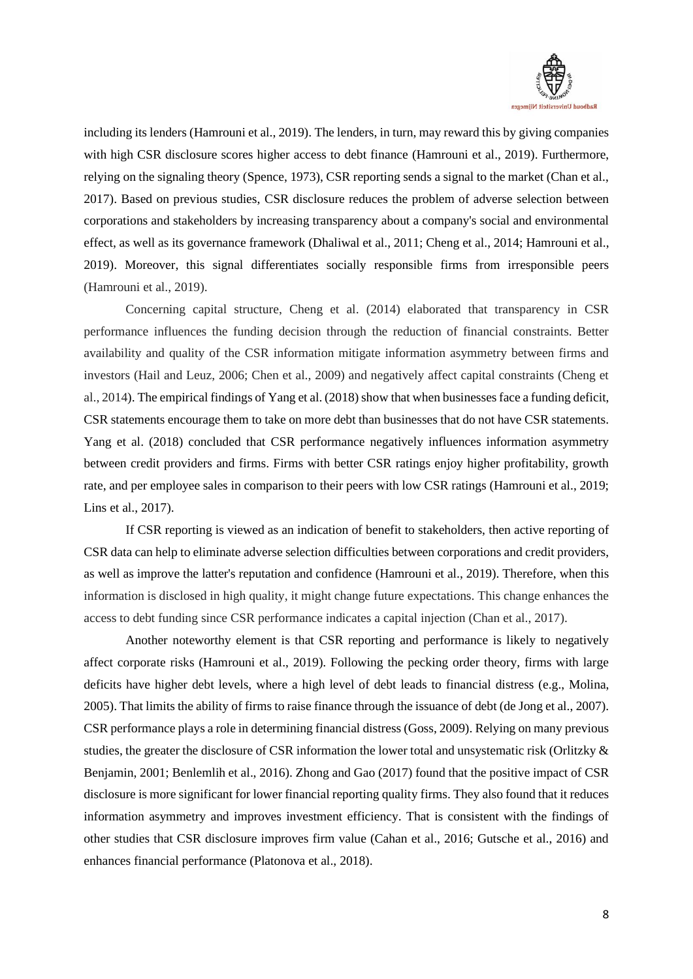

including its lenders (Hamrouni et al., 2019). The lenders, in turn, may reward this by giving companies with high CSR disclosure scores higher access to debt finance (Hamrouni et al., 2019). Furthermore, relying on the signaling theory (Spence, 1973), CSR reporting sends a signal to the market (Chan et al., 2017). Based on previous studies, CSR disclosure reduces the problem of adverse selection between corporations and stakeholders by increasing transparency about a company's social and environmental effect, as well as its governance framework (Dhaliwal et al., 2011; Cheng et al., 2014; Hamrouni et al., 2019). Moreover, this signal differentiates socially responsible firms from irresponsible peers (Hamrouni et al., 2019).

Concerning capital structure, Cheng et al. (2014) elaborated that transparency in CSR performance influences the funding decision through the reduction of financial constraints. Better availability and quality of the CSR information mitigate information asymmetry between firms and investors (Hail and Leuz, 2006; Chen et al., 2009) and negatively affect capital constraints (Cheng et al., 2014). The empirical findings of Yang et al. (2018) show that when businesses face a funding deficit, CSR statements encourage them to take on more debt than businesses that do not have CSR statements. Yang et al. (2018) concluded that CSR performance negatively influences information asymmetry between credit providers and firms. Firms with better CSR ratings enjoy higher profitability, growth rate, and per employee sales in comparison to their peers with low CSR ratings (Hamrouni et al., 2019; Lins et al., 2017).

If CSR reporting is viewed as an indication of benefit to stakeholders, then active reporting of CSR data can help to eliminate adverse selection difficulties between corporations and credit providers, as well as improve the latter's reputation and confidence (Hamrouni et al., 2019). Therefore, when this information is disclosed in high quality, it might change future expectations. This change enhances the access to debt funding since CSR performance indicates a capital injection (Chan et al., 2017).

Another noteworthy element is that CSR reporting and performance is likely to negatively affect corporate risks (Hamrouni et al., 2019). Following the pecking order theory, firms with large deficits have higher debt levels, where a high level of debt leads to financial distress (e.g., Molina, 2005). That limits the ability of firms to raise finance through the issuance of debt (de Jong et al., 2007). CSR performance plays a role in determining financial distress (Goss, 2009). Relying on many previous studies, the greater the disclosure of CSR information the lower total and unsystematic risk (Orlitzky & Benjamin, 2001; Benlemlih et al., 2016). Zhong and Gao (2017) found that the positive impact of CSR disclosure is more significant for lower financial reporting quality firms. They also found that it reduces information asymmetry and improves investment efficiency. That is consistent with the findings of other studies that CSR disclosure improves firm value (Cahan et al., 2016; Gutsche et al., 2016) and enhances financial performance (Platonova et al., 2018).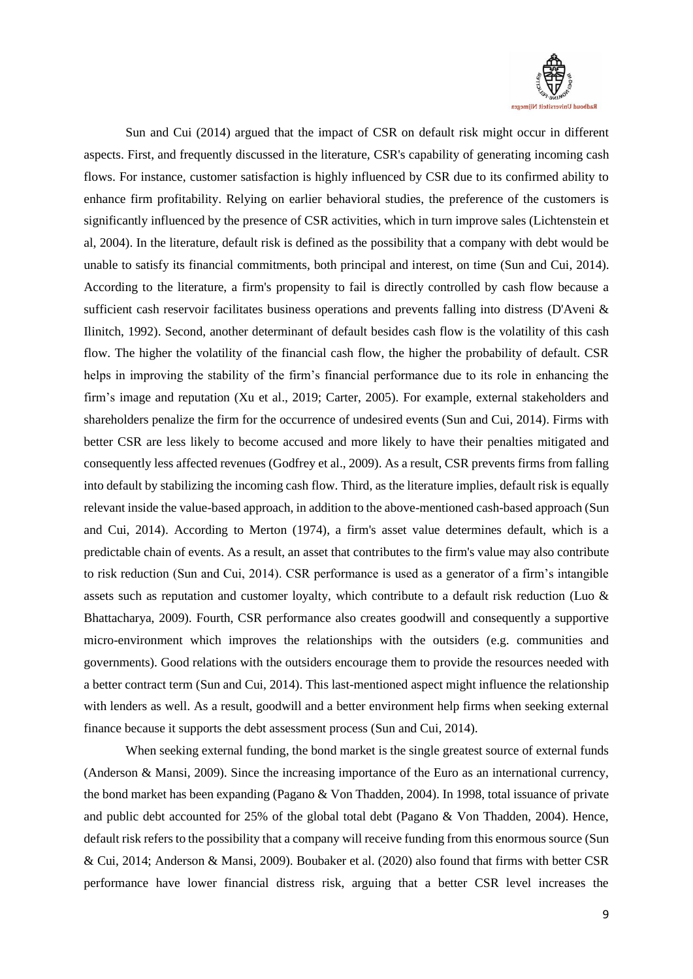

Sun and Cui (2014) argued that the impact of CSR on default risk might occur in different aspects. First, and frequently discussed in the literature, CSR's capability of generating incoming cash flows. For instance, customer satisfaction is highly influenced by CSR due to its confirmed ability to enhance firm profitability. Relying on earlier behavioral studies, the preference of the customers is significantly influenced by the presence of CSR activities, which in turn improve sales (Lichtenstein et al, 2004). In the literature, default risk is defined as the possibility that a company with debt would be unable to satisfy its financial commitments, both principal and interest, on time (Sun and Cui, 2014). According to the literature, a firm's propensity to fail is directly controlled by cash flow because a sufficient cash reservoir facilitates business operations and prevents falling into distress (D'Aveni & Ilinitch, 1992). Second, another determinant of default besides cash flow is the volatility of this cash flow. The higher the volatility of the financial cash flow, the higher the probability of default. CSR helps in improving the stability of the firm's financial performance due to its role in enhancing the firm's image and reputation (Xu et al., 2019; Carter, 2005). For example, external stakeholders and shareholders penalize the firm for the occurrence of undesired events (Sun and Cui, 2014). Firms with better CSR are less likely to become accused and more likely to have their penalties mitigated and consequently less affected revenues (Godfrey et al., 2009). As a result, CSR prevents firms from falling into default by stabilizing the incoming cash flow. Third, as the literature implies, default risk is equally relevant inside the value-based approach, in addition to the above-mentioned cash-based approach (Sun and Cui, 2014). According to Merton (1974), a firm's asset value determines default, which is a predictable chain of events. As a result, an asset that contributes to the firm's value may also contribute to risk reduction (Sun and Cui, 2014). CSR performance is used as a generator of a firm's intangible assets such as reputation and customer loyalty, which contribute to a default risk reduction (Luo & Bhattacharya, 2009). Fourth, CSR performance also creates goodwill and consequently a supportive micro-environment which improves the relationships with the outsiders (e.g. communities and governments). Good relations with the outsiders encourage them to provide the resources needed with a better contract term (Sun and Cui, 2014). This last-mentioned aspect might influence the relationship with lenders as well. As a result, goodwill and a better environment help firms when seeking external finance because it supports the debt assessment process (Sun and Cui, 2014).

When seeking external funding, the bond market is the single greatest source of external funds (Anderson & Mansi, 2009). Since the increasing importance of the Euro as an international currency, the bond market has been expanding (Pagano & Von Thadden, 2004). In 1998, total issuance of private and public debt accounted for 25% of the global total debt (Pagano & Von Thadden, 2004). Hence, default risk refers to the possibility that a company will receive funding from this enormous source (Sun & Cui, 2014; Anderson & Mansi, 2009). Boubaker et al. (2020) also found that firms with better CSR performance have lower financial distress risk, arguing that a better CSR level increases the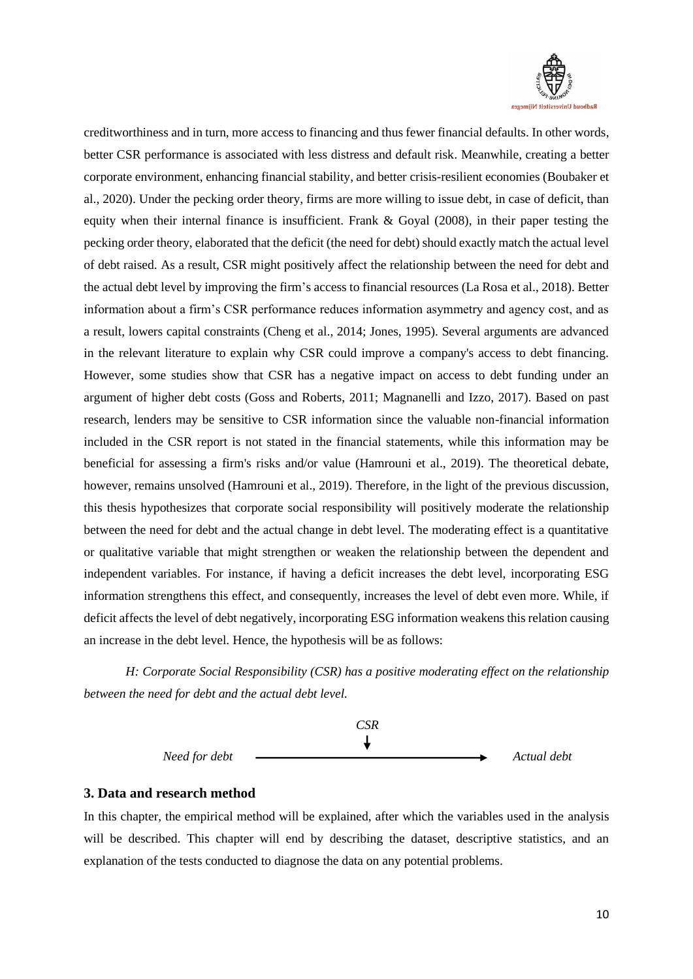

creditworthiness and in turn, more access to financing and thus fewer financial defaults. In other words, better CSR performance is associated with less distress and default risk. Meanwhile, creating a better corporate environment, enhancing financial stability, and better crisis-resilient economies (Boubaker et al., 2020). Under the pecking order theory, firms are more willing to issue debt, in case of deficit, than equity when their internal finance is insufficient. Frank & Goyal (2008), in their paper testing the pecking order theory, elaborated that the deficit (the need for debt) should exactly match the actual level of debt raised. As a result, CSR might positively affect the relationship between the need for debt and the actual debt level by improving the firm's access to financial resources (La Rosa et al., 2018). Better information about a firm's CSR performance reduces information asymmetry and agency cost, and as a result, lowers capital constraints (Cheng et al., 2014; Jones, 1995). Several arguments are advanced in the relevant literature to explain why CSR could improve a company's access to debt financing. However, some studies show that CSR has a negative impact on access to debt funding under an argument of higher debt costs (Goss and Roberts, 2011; Magnanelli and Izzo, 2017). Based on past research, lenders may be sensitive to CSR information since the valuable non-financial information included in the CSR report is not stated in the financial statements, while this information may be beneficial for assessing a firm's risks and/or value (Hamrouni et al., 2019). The theoretical debate, however, remains unsolved (Hamrouni et al., 2019). Therefore, in the light of the previous discussion, this thesis hypothesizes that corporate social responsibility will positively moderate the relationship between the need for debt and the actual change in debt level. The moderating effect is a quantitative or qualitative variable that might strengthen or weaken the relationship between the dependent and independent variables. For instance, if having a deficit increases the debt level, incorporating ESG information strengthens this effect, and consequently, increases the level of debt even more. While, if deficit affects the level of debt negatively, incorporating ESG information weakens this relation causing an increase in the debt level. Hence, the hypothesis will be as follows:

*H: Corporate Social Responsibility (CSR) has a positive moderating effect on the relationship between the need for debt and the actual debt level.*



### <span id="page-11-0"></span>**3. Data and research method**

In this chapter, the empirical method will be explained, after which the variables used in the analysis will be described. This chapter will end by describing the dataset, descriptive statistics, and an explanation of the tests conducted to diagnose the data on any potential problems.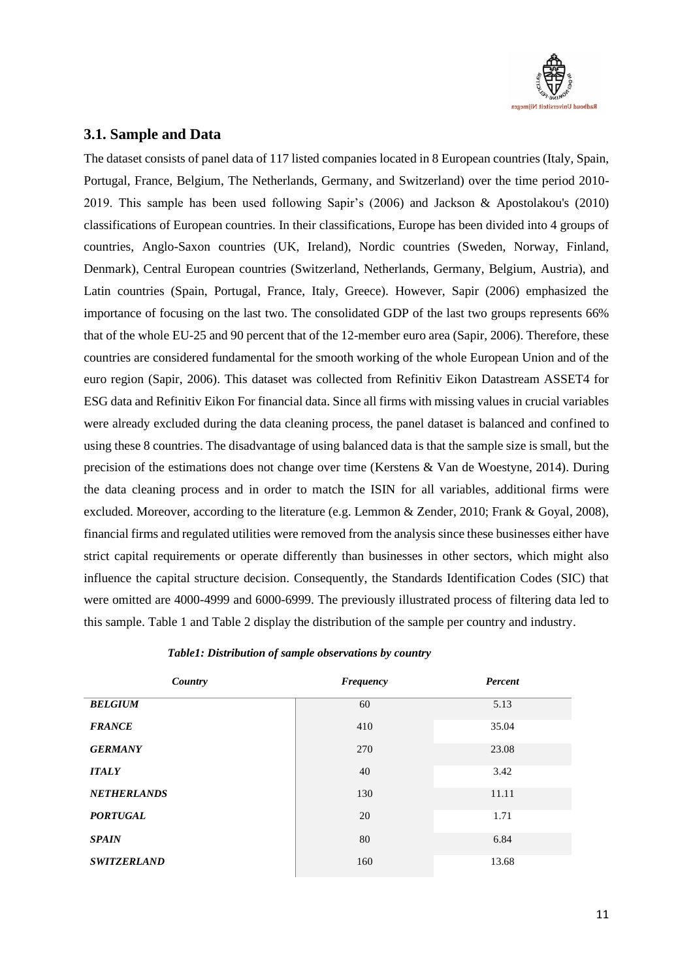

# <span id="page-12-0"></span>**3.1. Sample and Data**

The dataset consists of panel data of 117 listed companies located in 8 European countries (Italy, Spain, Portugal, France, Belgium, The Netherlands, Germany, and Switzerland) over the time period 2010- 2019. This sample has been used following Sapir's (2006) and Jackson & Apostolakou's (2010) classifications of European countries. In their classifications, Europe has been divided into 4 groups of countries, Anglo-Saxon countries (UK, Ireland), Nordic countries (Sweden, Norway, Finland, Denmark), Central European countries (Switzerland, Netherlands, Germany, Belgium, Austria), and Latin countries (Spain, Portugal, France, Italy, Greece). However, Sapir (2006) emphasized the importance of focusing on the last two. The consolidated GDP of the last two groups represents 66% that of the whole EU-25 and 90 percent that of the 12-member euro area (Sapir, 2006). Therefore, these countries are considered fundamental for the smooth working of the whole European Union and of the euro region (Sapir, 2006). This dataset was collected from Refinitiv Eikon Datastream ASSET4 for ESG data and Refinitiv Eikon For financial data. Since all firms with missing values in crucial variables were already excluded during the data cleaning process, the panel dataset is balanced and confined to using these 8 countries. The disadvantage of using balanced data is that the sample size is small, but the precision of the estimations does not change over time (Kerstens & Van de Woestyne, 2014). During the data cleaning process and in order to match the ISIN for all variables, additional firms were excluded. Moreover, according to the literature (e.g. Lemmon & Zender, 2010; Frank & Goyal, 2008), financial firms and regulated utilities were removed from the analysis since these businesses either have strict capital requirements or operate differently than businesses in other sectors, which might also influence the capital structure decision. Consequently, the Standards Identification Codes (SIC) that were omitted are 4000-4999 and 6000-6999. The previously illustrated process of filtering data led to this sample. Table 1 and Table 2 display the distribution of the sample per country and industry.

| Country            | <b>Frequency</b> | Percent |
|--------------------|------------------|---------|
| <b>BELGIUM</b>     | 60               | 5.13    |
| <b>FRANCE</b>      | 410              | 35.04   |
| <b>GERMANY</b>     | 270              | 23.08   |
| <b>ITALY</b>       | 40               | 3.42    |
| <b>NETHERLANDS</b> | 130              | 11.11   |
| <b>PORTUGAL</b>    | 20               | 1.71    |
| <b>SPAIN</b>       | 80               | 6.84    |
| <b>SWITZERLAND</b> | 160              | 13.68   |

### *Table1: Distribution of sample observations by country*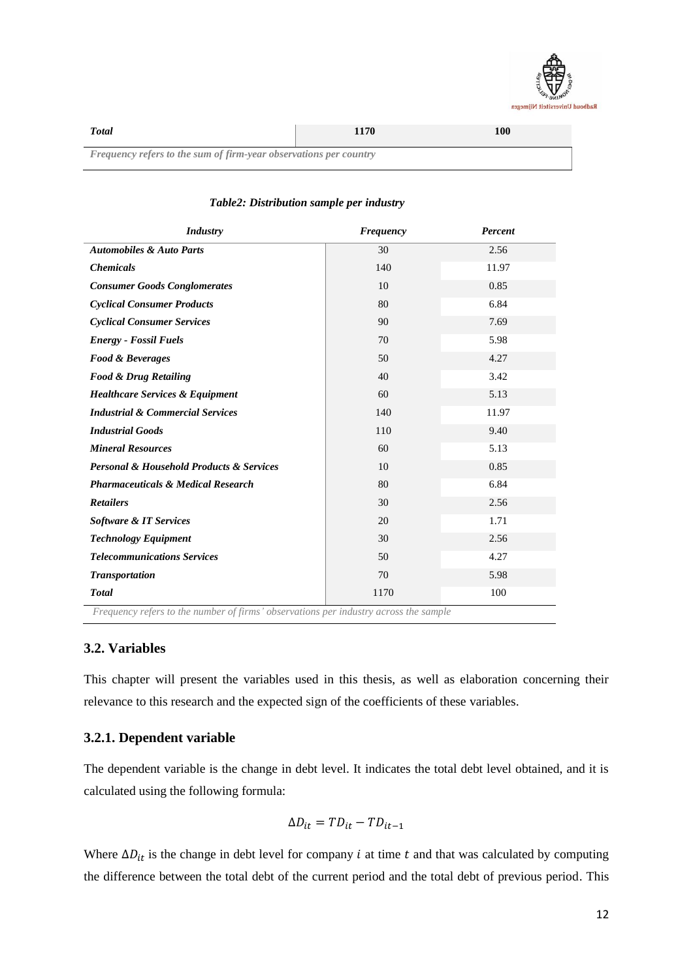

| <b>Total</b>                                                             | 1170 | 100 |  |  |  |
|--------------------------------------------------------------------------|------|-----|--|--|--|
| <b>Frequency refers to the sum of firm-year observations per country</b> |      |     |  |  |  |

| <b>Industry</b>                                         | <b>Frequency</b> | Percent |
|---------------------------------------------------------|------------------|---------|
| <b>Automobiles &amp; Auto Parts</b>                     | 30               | 2.56    |
| <b>Chemicals</b>                                        | 140              | 11.97   |
| <b>Consumer Goods Conglomerates</b>                     | 10               | 0.85    |
| <b>Cyclical Consumer Products</b>                       | 80               | 6.84    |
| <b>Cyclical Consumer Services</b>                       | 90               | 7.69    |
| <b>Energy - Fossil Fuels</b>                            | 70               | 5.98    |
| <b>Food &amp; Beverages</b>                             | 50               | 4.27    |
| <b>Food &amp; Drug Retailing</b>                        | 40               | 3.42    |
| <b>Healthcare Services &amp; Equipment</b>              | 60               | 5.13    |
| <b>Industrial &amp; Commercial Services</b>             | 140              | 11.97   |
| <b>Industrial Goods</b>                                 | 110              | 9.40    |
| <b>Mineral Resources</b>                                | 60               | 5.13    |
| <b>Personal &amp; Household Products &amp; Services</b> | 10               | 0.85    |
| <b>Pharmaceuticals &amp; Medical Research</b>           | 80               | 6.84    |
| <b>Retailers</b>                                        | 30               | 2.56    |
| Software & IT Services                                  | 20               | 1.71    |
| <b>Technology Equipment</b>                             | 30               | 2.56    |
| <b>Telecommunications Services</b>                      | 50               | 4.27    |
| <b>Transportation</b>                                   | 70               | 5.98    |
| <b>Total</b>                                            | 1170             | 100     |

## *Table2: Distribution sample per industry*

### <span id="page-13-0"></span>**3.2. Variables**

This chapter will present the variables used in this thesis, as well as elaboration concerning their relevance to this research and the expected sign of the coefficients of these variables.

# <span id="page-13-1"></span>**3.2.1. Dependent variable**

The dependent variable is the change in debt level. It indicates the total debt level obtained, and it is calculated using the following formula:

$$
\Delta D_{it} = T D_{it} - T D_{it-1}
$$

Where  $\Delta D_{it}$  is the change in debt level for company *i* at time *t* and that was calculated by computing the difference between the total debt of the current period and the total debt of previous period. This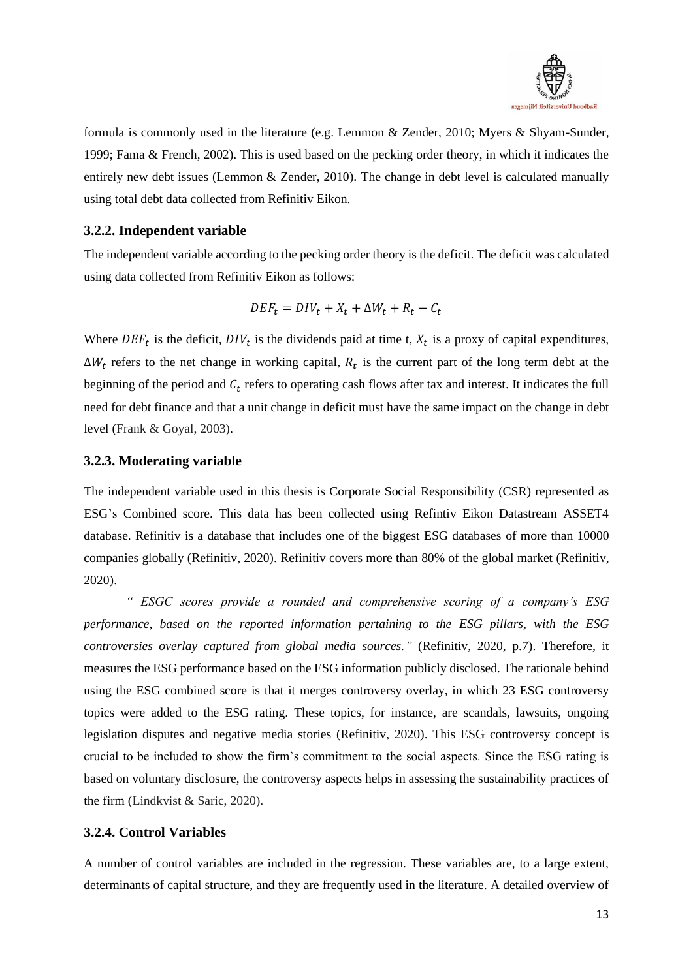

formula is commonly used in the literature (e.g. Lemmon & Zender, 2010; Myers & Shyam-Sunder, 1999; Fama & French, 2002). This is used based on the pecking order theory, in which it indicates the entirely new debt issues (Lemmon & Zender, 2010). The change in debt level is calculated manually using total debt data collected from Refinitiv Eikon.

# <span id="page-14-0"></span>**3.2.2. Independent variable**

The independent variable according to the pecking order theory is the deficit. The deficit was calculated using data collected from Refinitiv Eikon as follows:

$$
DEF_t = DIV_t + X_t + \Delta W_t + R_t - C_t
$$

Where  $DEF_t$  is the deficit,  $DIV_t$  is the dividends paid at time t,  $X_t$  is a proxy of capital expenditures,  $\Delta W_t$  refers to the net change in working capital,  $R_t$  is the current part of the long term debt at the beginning of the period and  $C_t$  refers to operating cash flows after tax and interest. It indicates the full need for debt finance and that a unit change in deficit must have the same impact on the change in debt level (Frank & Goyal, 2003).

### <span id="page-14-1"></span>**3.2.3. Moderating variable**

The independent variable used in this thesis is Corporate Social Responsibility (CSR) represented as ESG's Combined score. This data has been collected using Refintiv Eikon Datastream ASSET4 database. Refinitiv is a database that includes one of the biggest ESG databases of more than 10000 companies globally (Refinitiv, 2020). Refinitiv covers more than 80% of the global market (Refinitiv, 2020).

*" ESGC scores provide a rounded and comprehensive scoring of a company's ESG performance, based on the reported information pertaining to the ESG pillars, with the ESG controversies overlay captured from global media sources."* (Refinitiv, 2020, p.7). Therefore, it measures the ESG performance based on the ESG information publicly disclosed. The rationale behind using the ESG combined score is that it merges controversy overlay, in which 23 ESG controversy topics were added to the ESG rating. These topics, for instance, are scandals, lawsuits, ongoing legislation disputes and negative media stories (Refinitiv, 2020). This ESG controversy concept is crucial to be included to show the firm's commitment to the social aspects. Since the ESG rating is based on voluntary disclosure, the controversy aspects helps in assessing the sustainability practices of the firm (Lindkvist & Saric, 2020).

### <span id="page-14-2"></span>**3.2.4. Control Variables**

A number of control variables are included in the regression. These variables are, to a large extent, determinants of capital structure, and they are frequently used in the literature. A detailed overview of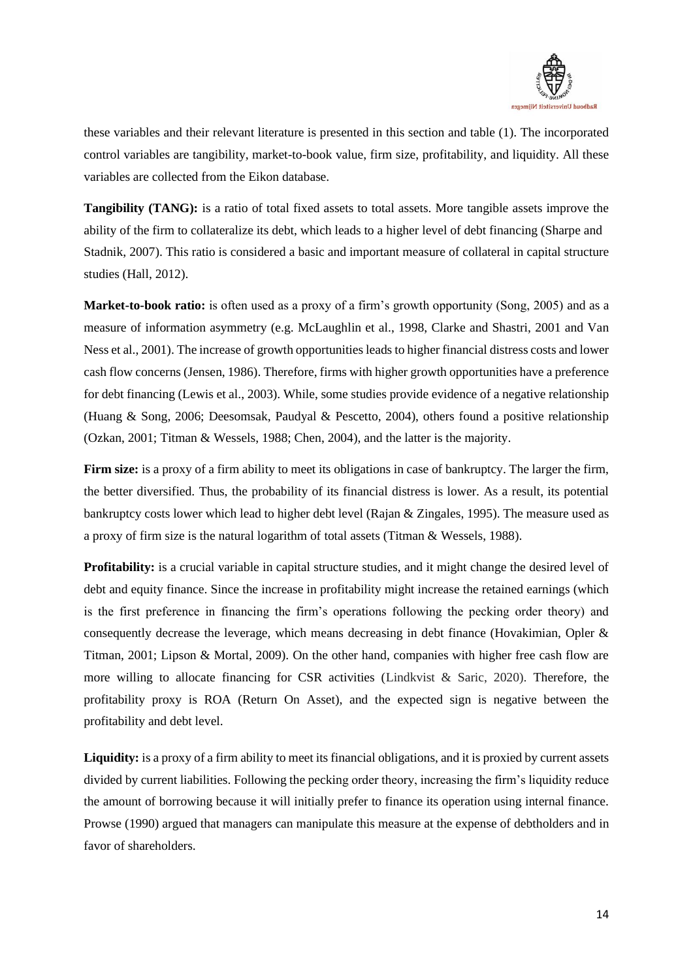

these variables and their relevant literature is presented in this section and table (1). The incorporated control variables are tangibility, market-to-book value, firm size, profitability, and liquidity. All these variables are collected from the Eikon database.

**Tangibility (TANG):** is a ratio of total fixed assets to total assets. More tangible assets improve the ability of the firm to collateralize its debt, which leads to a higher level of debt financing (Sharpe and Stadnik, 2007). This ratio is considered a basic and important measure of collateral in capital structure studies (Hall, 2012).

**Market-to-book ratio:** is often used as a proxy of a firm's growth opportunity (Song, 2005) and as a measure of information asymmetry (e.g. McLaughlin et al., 1998, Clarke and Shastri, 2001 and Van Ness et al., 2001). The increase of growth opportunities leads to higher financial distress costs and lower cash flow concerns (Jensen, 1986). Therefore, firms with higher growth opportunities have a preference for debt financing (Lewis et al., 2003). While, some studies provide evidence of a negative relationship (Huang & Song, 2006; Deesomsak, Paudyal & Pescetto, 2004), others found a positive relationship (Ozkan, 2001; Titman & Wessels, 1988; Chen, 2004), and the latter is the majority.

**Firm size:** is a proxy of a firm ability to meet its obligations in case of bankruptcy. The larger the firm, the better diversified. Thus, the probability of its financial distress is lower. As a result, its potential bankruptcy costs lower which lead to higher debt level (Rajan & Zingales, 1995). The measure used as a proxy of firm size is the natural logarithm of total assets (Titman & Wessels, 1988).

**Profitability:** is a crucial variable in capital structure studies, and it might change the desired level of debt and equity finance. Since the increase in profitability might increase the retained earnings (which is the first preference in financing the firm's operations following the pecking order theory) and consequently decrease the leverage, which means decreasing in debt finance (Hovakimian, Opler & Titman, 2001; Lipson & Mortal, 2009). On the other hand, companies with higher free cash flow are more willing to allocate financing for CSR activities (Lindkvist & Saric, 2020). Therefore, the profitability proxy is ROA (Return On Asset), and the expected sign is negative between the profitability and debt level.

Liquidity: is a proxy of a firm ability to meet its financial obligations, and it is proxied by current assets divided by current liabilities. Following the pecking order theory, increasing the firm's liquidity reduce the amount of borrowing because it will initially prefer to finance its operation using internal finance. Prowse (1990) argued that managers can manipulate this measure at the expense of debtholders and in favor of shareholders.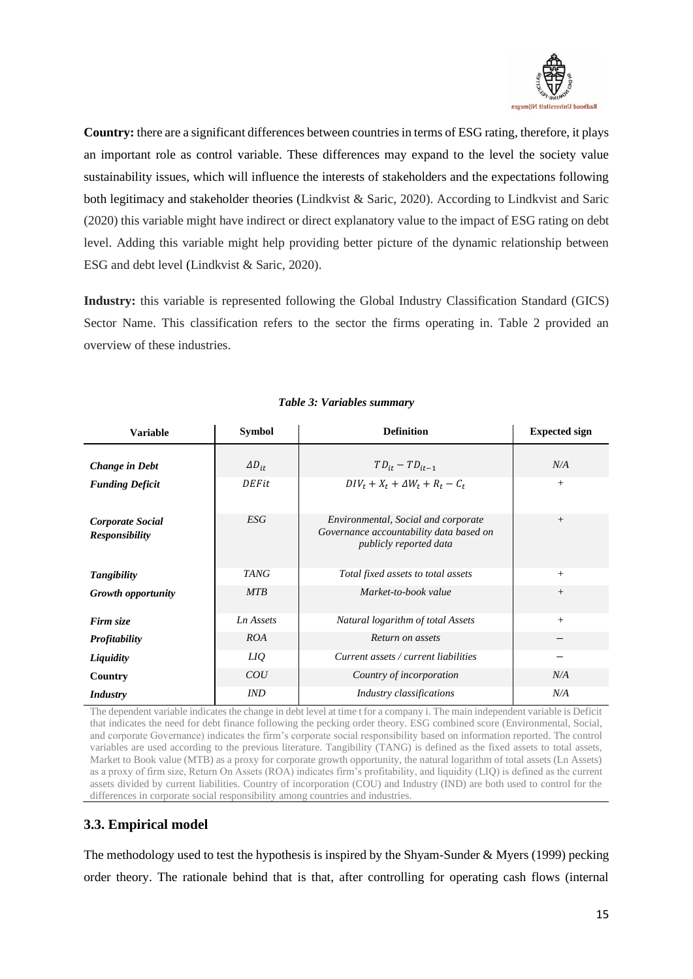

**Country:** there are a significant differences between countries in terms of ESG rating, therefore, it plays an important role as control variable. These differences may expand to the level the society value sustainability issues, which will influence the interests of stakeholders and the expectations following both legitimacy and stakeholder theories (Lindkvist & Saric, 2020). According to Lindkvist and Saric (2020) this variable might have indirect or direct explanatory value to the impact of ESG rating on debt level. Adding this variable might help providing better picture of the dynamic relationship between ESG and debt level (Lindkvist & Saric, 2020).

**Industry:** this variable is represented following the Global Industry Classification Standard (GICS) Sector Name. This classification refers to the sector the firms operating in. Table 2 provided an overview of these industries.

| <b>Variable</b>                           | <b>Symbol</b>   | <b>Definition</b>                                                                                        | <b>Expected sign</b> |
|-------------------------------------------|-----------------|----------------------------------------------------------------------------------------------------------|----------------------|
|                                           |                 |                                                                                                          |                      |
| Change in Debt                            | $\Delta D_{it}$ | $TD_{it} - TD_{it-1}$                                                                                    | N/A                  |
| <b>Funding Deficit</b>                    | DEFit           | $DIV_t + X_t + \Delta W_t + R_t - C_t$                                                                   | $+$                  |
| Corporate Social<br><b>Responsibility</b> | ESG             | Environmental, Social and corporate<br>Governance accountability data based on<br>publicly reported data | $^{+}$               |
| Tangibility                               | <b>TANG</b>     | Total fixed assets to total assets                                                                       | $+$                  |
| <b>Growth opportunity</b>                 | <b>MTB</b>      | Market-to-book value                                                                                     | $^{+}$               |
| Firm size                                 | Ln Assets       | Natural logarithm of total Assets                                                                        | $+$                  |
| <b>Profitability</b>                      | ROA             | Return on assets                                                                                         |                      |
| Liquidity                                 | LIQ             | Current assets / current liabilities                                                                     |                      |
| Country                                   | COU             | Country of incorporation                                                                                 | N/A                  |
| <i>Industry</i>                           | <b>IND</b>      | Industry classifications                                                                                 | N/A                  |

### *Table 3: Variables summary*

The dependent variable indicates the change in debt level at time t for a company i. The main independent variable is Deficit that indicates the need for debt finance following the pecking order theory. ESG combined score (Environmental, Social, and corporate Governance) indicates the firm's corporate social responsibility based on information reported. The control variables are used according to the previous literature. Tangibility (TANG) is defined as the fixed assets to total assets, Market to Book value (MTB) as a proxy for corporate growth opportunity, the natural logarithm of total assets (Ln Assets) as a proxy of firm size, Return On Assets (ROA) indicates firm's profitability, and liquidity (LIQ) is defined as the current assets divided by current liabilities. Country of incorporation (COU) and Industry (IND) are both used to control for the differences in corporate social responsibility among countries and industries.

# <span id="page-16-0"></span>**3.3. Empirical model**

The methodology used to test the hypothesis is inspired by the Shyam-Sunder  $\&$  Myers (1999) pecking order theory. The rationale behind that is that, after controlling for operating cash flows (internal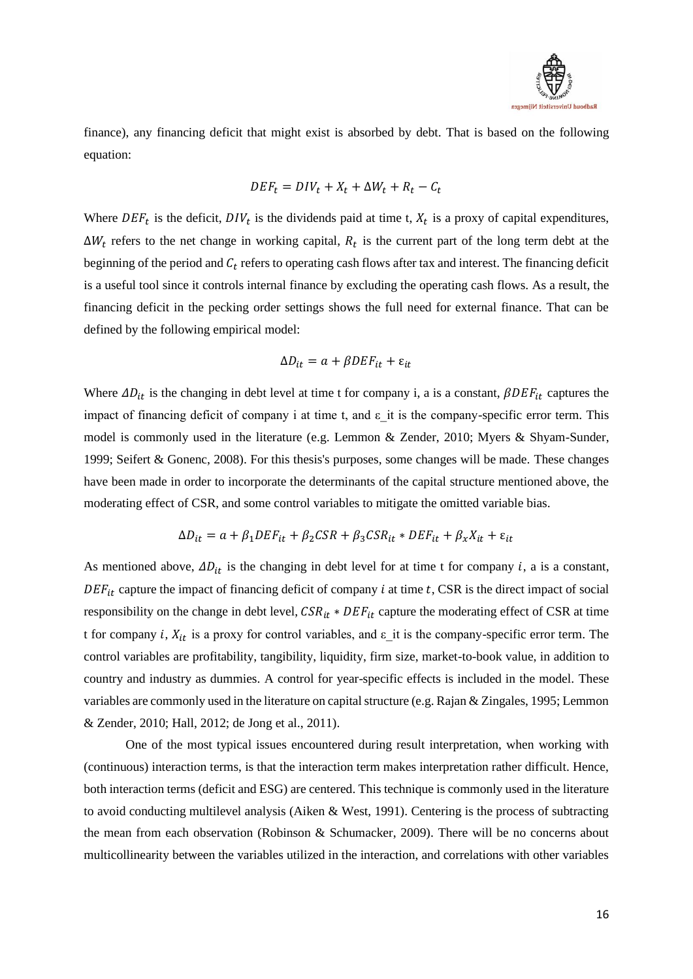

finance), any financing deficit that might exist is absorbed by debt. That is based on the following equation:

$$
DEF_t = DIV_t + X_t + \Delta W_t + R_t - C_t
$$

Where  $DEF_t$  is the deficit,  $DIV_t$  is the dividends paid at time t,  $X_t$  is a proxy of capital expenditures,  $\Delta W_t$  refers to the net change in working capital,  $R_t$  is the current part of the long term debt at the beginning of the period and  $C_t$  refers to operating cash flows after tax and interest. The financing deficit is a useful tool since it controls internal finance by excluding the operating cash flows. As a result, the financing deficit in the pecking order settings shows the full need for external finance. That can be defined by the following empirical model:

$$
\Delta D_{it} = a + \beta DEF_{it} + \varepsilon_{it}
$$

Where  $\Delta D_{it}$  is the changing in debt level at time t for company i, a is a constant,  $\beta DEF_{it}$  captures the impact of financing deficit of company i at time t, and  $\varepsilon$  it is the company-specific error term. This model is commonly used in the literature (e.g. Lemmon & Zender, 2010; Myers & Shyam-Sunder, 1999; Seifert & Gonenc, 2008). For this thesis's purposes, some changes will be made. These changes have been made in order to incorporate the determinants of the capital structure mentioned above, the moderating effect of CSR, and some control variables to mitigate the omitted variable bias.

$$
\Delta D_{it} = a + \beta_1 DEF_{it} + \beta_2 CSR + \beta_3 CSR_{it} * DEF_{it} + \beta_x X_{it} + \varepsilon_{it}
$$

As mentioned above,  $\Delta D_{it}$  is the changing in debt level for at time t for company i, a is a constant,  $DEF_{it}$  capture the impact of financing deficit of company *i* at time *t*, CSR is the direct impact of social responsibility on the change in debt level,  $CSR_{it}*DEF_{it}$  capture the moderating effect of CSR at time t for company i,  $X_{it}$  is a proxy for control variables, and  $\varepsilon$  it is the company-specific error term. The control variables are profitability, tangibility, liquidity, firm size, market-to-book value, in addition to country and industry as dummies. A control for year-specific effects is included in the model. These variables are commonly used in the literature on capital structure (e.g. Rajan & Zingales, 1995; Lemmon & Zender, 2010; Hall, 2012; de Jong et al., 2011).

One of the most typical issues encountered during result interpretation, when working with (continuous) interaction terms, is that the interaction term makes interpretation rather difficult. Hence, both interaction terms (deficit and ESG) are centered. This technique is commonly used in the literature to avoid conducting multilevel analysis (Aiken & West, 1991). Centering is the process of subtracting the mean from each observation (Robinson & Schumacker, 2009). There will be no concerns about multicollinearity between the variables utilized in the interaction, and correlations with other variables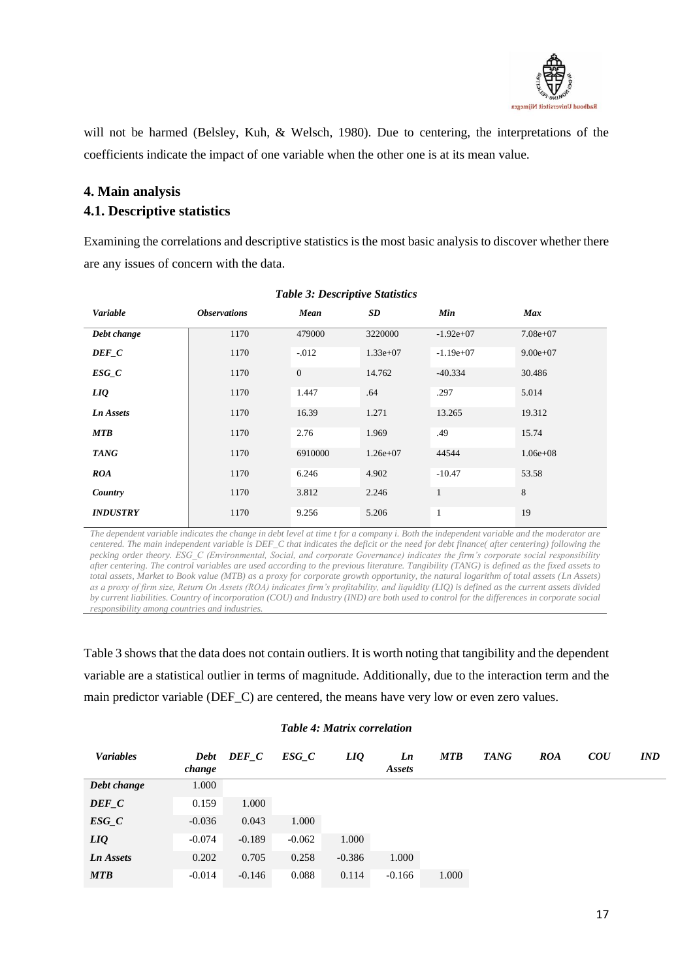

will not be harmed (Belsley, Kuh, & Welsch, 1980). Due to centering, the interpretations of the coefficients indicate the impact of one variable when the other one is at its mean value.

# <span id="page-18-0"></span>**4. Main analysis**

# <span id="page-18-1"></span>**4.1. Descriptive statistics**

Examining the correlations and descriptive statistics is the most basic analysis to discover whether there are any issues of concern with the data.

| Variable         | <b>Observations</b> | Mean             | SD           | Min          | <b>Max</b>   |
|------------------|---------------------|------------------|--------------|--------------|--------------|
| Debt change      | 1170                | 479000           | 3220000      | $-1.92e+07$  | $7.08e + 07$ |
| DEF C            | 1170                | $-0.012$         | $1.33e+07$   | $-1.19e+07$  | $9.00e + 07$ |
| $ESG_C$          | 1170                | $\boldsymbol{0}$ | 14.762       | $-40.334$    | 30.486       |
| LIQ              | 1170                | 1.447            | .64          | .297         | 5.014        |
| <b>Ln Assets</b> | 1170                | 16.39            | 1.271        | 13.265       | 19.312       |
| <b>MTB</b>       | 1170                | 2.76             | 1.969        | .49          | 15.74        |
| <b>TANG</b>      | 1170                | 6910000          | $1.26e + 07$ | 44544        | $1.06e + 08$ |
| <b>ROA</b>       | 1170                | 6.246            | 4.902        | $-10.47$     | 53.58        |
| Country          | 1170                | 3.812            | 2.246        | $\mathbf{1}$ | 8            |
| <b>INDUSTRY</b>  | 1170                | 9.256            | 5.206        | $\mathbf{1}$ | 19           |

### *Table 3: Descriptive Statistics*

*The dependent variable indicates the change in debt level at time t for a company i. Both the independent variable and the moderator are centered. The main independent variable is DEF\_C that indicates the deficit or the need for debt finance( after centering) following the pecking order theory. ESG\_C (Environmental, Social, and corporate Governance) indicates the firm's corporate social responsibility after centering. The control variables are used according to the previous literature. Tangibility (TANG) is defined as the fixed assets to total assets, Market to Book value (MTB) as a proxy for corporate growth opportunity, the natural logarithm of total assets (Ln Assets) as a proxy of firm size, Return On Assets (ROA) indicates firm's profitability, and liquidity (LIQ) is defined as the current assets divided by current liabilities. Country of incorporation (COU) and Industry (IND) are both used to control for the differences in corporate social responsibility among countries and industries.*

Table 3 shows that the data does not contain outliers. It is worth noting that tangibility and the dependent variable are a statistical outlier in terms of magnitude. Additionally, due to the interaction term and the main predictor variable (DEF\_C) are centered, the means have very low or even zero values.

### *Table 4: Matrix correlation*

| <b>Variables</b> | change   | Debt DEF C | ESG C    | LIQ      | Ln<br><b>Assets</b> | <b>MTB</b> | <b>TANG</b> | <b>ROA</b> | $\overline{C}$ | <b>IND</b> |
|------------------|----------|------------|----------|----------|---------------------|------------|-------------|------------|----------------|------------|
| Debt change      | 1.000    |            |          |          |                     |            |             |            |                |            |
| $DEF_C$          | 0.159    | 1.000      |          |          |                     |            |             |            |                |            |
| $ESG_C$          | $-0.036$ | 0.043      | 1.000    |          |                     |            |             |            |                |            |
| LIQ              | $-0.074$ | $-0.189$   | $-0.062$ | 1.000    |                     |            |             |            |                |            |
| Ln Assets        | 0.202    | 0.705      | 0.258    | $-0.386$ | 1.000               |            |             |            |                |            |
| <b>MTB</b>       | $-0.014$ | $-0.146$   | 0.088    | 0.114    | $-0.166$            | 1.000      |             |            |                |            |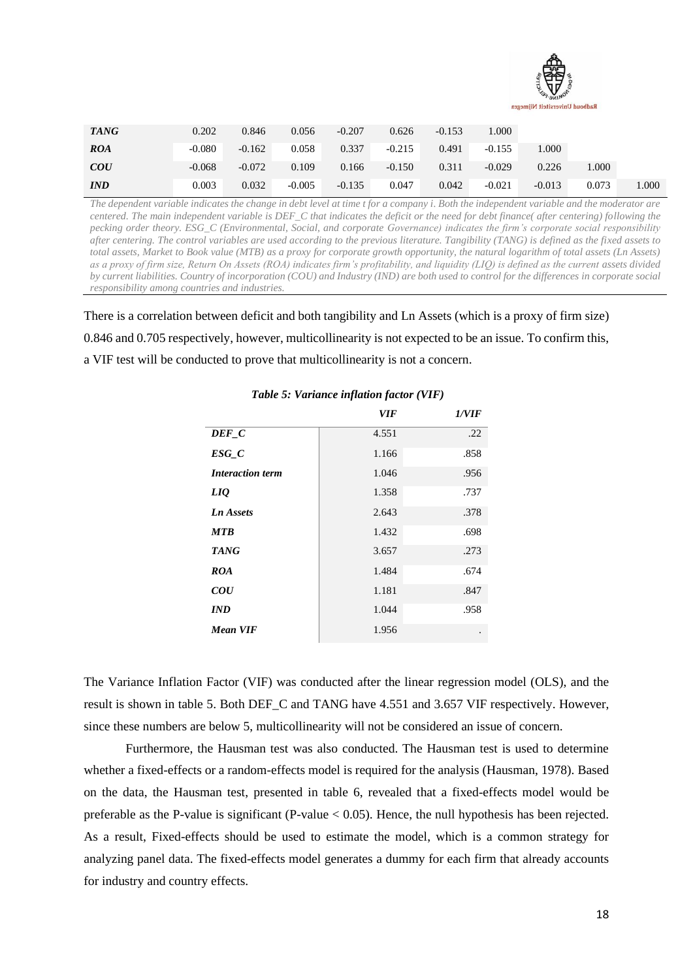

| <b>TANG</b>    | 0.202    | 0.846    | 0.056    | $-0.207$ | 0.626    | $-0.153$ | .000.    |          |       |      |
|----------------|----------|----------|----------|----------|----------|----------|----------|----------|-------|------|
| <b>ROA</b>     | $-0.080$ | $-0.162$ | 0.058    | 0.337    | $-0.215$ | 0.491    | $-0.155$ | 000.1    |       |      |
| $\overline{C}$ | $-0.068$ | $-0.072$ | 0.109    | 0.166    | $-0.150$ | 0.311    | $-0.029$ | 0.226    | 000.1 |      |
| <i>IND</i>     | 0.003    | 0.032    | $-0.005$ | $-0.135$ | 0.047    | 0.042    | $-0.021$ | $-0.013$ | 0.073 | .000 |

*The dependent variable indicates the change in debt level at time t for a company i. Both the independent variable and the moderator are centered. The main independent variable is DEF\_C that indicates the deficit or the need for debt finance( after centering) following the pecking order theory. ESG\_C (Environmental, Social, and corporate Governance) indicates the firm's corporate social responsibility after centering. The control variables are used according to the previous literature. Tangibility (TANG) is defined as the fixed assets to total assets, Market to Book value (MTB) as a proxy for corporate growth opportunity, the natural logarithm of total assets (Ln Assets) as a proxy of firm size, Return On Assets (ROA) indicates firm's profitability, and liquidity (LIQ) is defined as the current assets divided by current liabilities. Country of incorporation (COU) and Industry (IND) are both used to control for the differences in corporate social responsibility among countries and industries.*

There is a correlation between deficit and both tangibility and Ln Assets (which is a proxy of firm size) 0.846 and 0.705 respectively, however, multicollinearity is not expected to be an issue. To confirm this, a VIF test will be conducted to prove that multicollinearity is not a concern.

|                         | VIF   | 1/VIF |
|-------------------------|-------|-------|
| $DEF_C$                 | 4.551 | .22   |
| ESG C                   | 1.166 | .858  |
| <b>Interaction term</b> | 1.046 | .956  |
| <b>LIQ</b>              | 1.358 | .737  |
| <b>Ln</b> Assets        | 2.643 | .378  |
| <b>MTB</b>              | 1.432 | .698  |
| <b>TANG</b>             | 3.657 | .273  |
| <b>ROA</b>              | 1.484 | .674  |
| $\overline{COU}$        | 1.181 | .847  |
| <b>IND</b>              | 1.044 | .958  |
| <b>Mean VIF</b>         | 1.956 |       |

*Table 5: Variance inflation factor (VIF)*

The Variance Inflation Factor (VIF) was conducted after the linear regression model (OLS), and the result is shown in table 5. Both DEF\_C and TANG have 4.551 and 3.657 VIF respectively. However, since these numbers are below 5, multicollinearity will not be considered an issue of concern.

Furthermore, the Hausman test was also conducted. The Hausman test is used to determine whether a fixed-effects or a random-effects model is required for the analysis (Hausman, 1978). Based on the data, the Hausman test, presented in table 6, revealed that a fixed-effects model would be preferable as the P-value is significant (P-value  $< 0.05$ ). Hence, the null hypothesis has been rejected. As a result, Fixed-effects should be used to estimate the model, which is a common strategy for analyzing panel data. The fixed-effects model generates a dummy for each firm that already accounts for industry and country effects.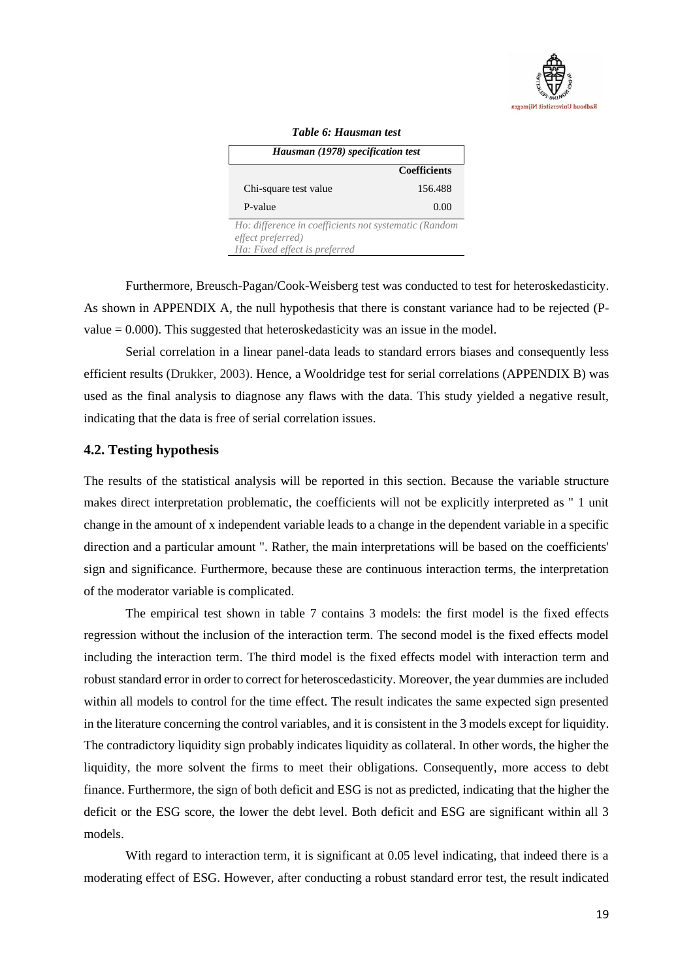

| Hausman (1978) specification test | тате о, таактап тем |
|-----------------------------------|---------------------|
|                                   | <b>Coefficients</b> |
| Chi-square test value             | 156.488             |
| P-value                           | 0.00                |

### *Table 6: Hausman test*

Furthermore, Breusch-Pagan/Cook-Weisberg test was conducted to test for heteroskedasticity. As shown in APPENDIX A, the null hypothesis that there is constant variance had to be rejected (Pvalue  $= 0.000$ ). This suggested that heteroskedasticity was an issue in the model.

Serial correlation in a linear panel-data leads to standard errors biases and consequently less efficient results (Drukker, 2003). Hence, a Wooldridge test for serial correlations (APPENDIX B) was used as the final analysis to diagnose any flaws with the data. This study yielded a negative result, indicating that the data is free of serial correlation issues.

### <span id="page-20-0"></span>**4.2. Testing hypothesis**

The results of the statistical analysis will be reported in this section. Because the variable structure makes direct interpretation problematic, the coefficients will not be explicitly interpreted as " 1 unit change in the amount of x independent variable leads to a change in the dependent variable in a specific direction and a particular amount ". Rather, the main interpretations will be based on the coefficients' sign and significance. Furthermore, because these are continuous interaction terms, the interpretation of the moderator variable is complicated.

The empirical test shown in table 7 contains 3 models: the first model is the fixed effects regression without the inclusion of the interaction term. The second model is the fixed effects model including the interaction term. The third model is the fixed effects model with interaction term and robust standard error in order to correct for heteroscedasticity. Moreover, the year dummies are included within all models to control for the time effect. The result indicates the same expected sign presented in the literature concerning the control variables, and it is consistent in the 3 models except for liquidity. The contradictory liquidity sign probably indicates liquidity as collateral. In other words, the higher the liquidity, the more solvent the firms to meet their obligations. Consequently, more access to debt finance. Furthermore, the sign of both deficit and ESG is not as predicted, indicating that the higher the deficit or the ESG score, the lower the debt level. Both deficit and ESG are significant within all 3 models.

With regard to interaction term, it is significant at 0.05 level indicating, that indeed there is a moderating effect of ESG. However, after conducting a robust standard error test, the result indicated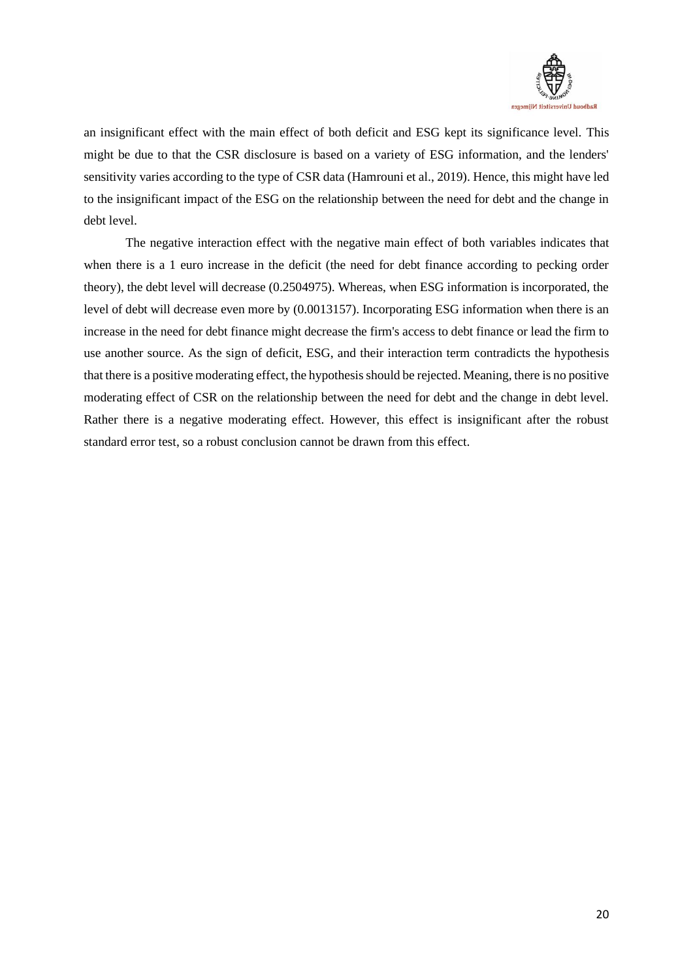

an insignificant effect with the main effect of both deficit and ESG kept its significance level. This might be due to that the CSR disclosure is based on a variety of ESG information, and the lenders' sensitivity varies according to the type of CSR data (Hamrouni et al., 2019). Hence, this might have led to the insignificant impact of the ESG on the relationship between the need for debt and the change in debt level.

The negative interaction effect with the negative main effect of both variables indicates that when there is a 1 euro increase in the deficit (the need for debt finance according to pecking order theory), the debt level will decrease (0.2504975). Whereas, when ESG information is incorporated, the level of debt will decrease even more by (0.0013157). Incorporating ESG information when there is an increase in the need for debt finance might decrease the firm's access to debt finance or lead the firm to use another source. As the sign of deficit, ESG, and their interaction term contradicts the hypothesis that there is a positive moderating effect, the hypothesis should be rejected. Meaning, there is no positive moderating effect of CSR on the relationship between the need for debt and the change in debt level. Rather there is a negative moderating effect. However, this effect is insignificant after the robust standard error test, so a robust conclusion cannot be drawn from this effect.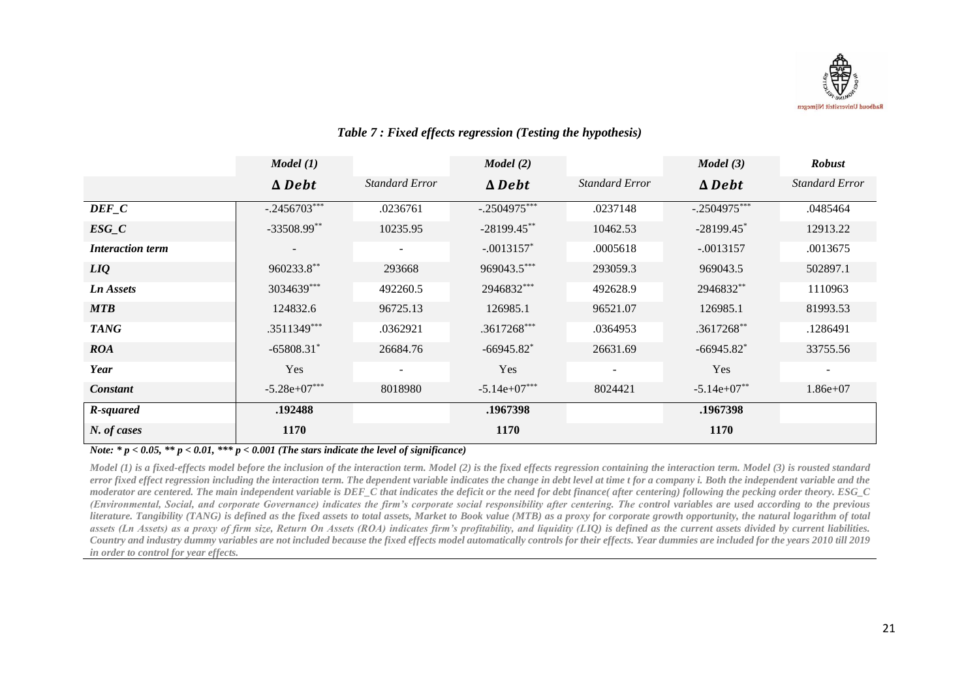

|                         | Model (1)        |                       | Model(2)                 |                       | Model(3)                 | <b>Robust</b>         |
|-------------------------|------------------|-----------------------|--------------------------|-----------------------|--------------------------|-----------------------|
|                         | $\triangle$ Debt | <b>Standard Error</b> | $\triangle$ Debt         | <b>Standard Error</b> | $\triangle$ Debt         | <b>Standard Error</b> |
| $DEF_C$                 | $-.2456703***$   | .0236761              | $-.2504975***$           | .0237148              | $-.2504975***$           | .0485464              |
| $ESG_C$                 | $-33508.99**$    | 10235.95              | $-28199.45***$           | 10462.53              | $-28199.45$ *            | 12913.22              |
| <b>Interaction term</b> |                  |                       | $-.0013157*$             | .0005618              | $-.0013157$              | .0013675              |
| LIQ                     | 960233.8**       | 293668                | 969043.5***              | 293059.3              | 969043.5                 | 502897.1              |
| <b>Ln Assets</b>        | 3034639***       | 492260.5              | 2946832***               | 492628.9              | 2946832**                | 1110963               |
| <b>MTB</b>              | 124832.6         | 96725.13              | 126985.1                 | 96521.07              | 126985.1                 | 81993.53              |
| <b>TANG</b>             | .3511349***      | .0362921              | .3617268***              | .0364953              | .3617268**               | .1286491              |
| <b>ROA</b>              | $-65808.31*$     | 26684.76              | $-66945.82$ <sup>*</sup> | 26631.69              | $-66945.82$ <sup>*</sup> | 33755.56              |
| Year                    | Yes              | $\sim$                | Yes                      | $\sim$                | Yes                      | $\sim$                |
| <b>Constant</b>         | $-5.28e+07***$   | 8018980               | $-5.14e+07***$           | 8024421               | $-5.14e+07**$            | $1.86e+07$            |
| R-squared               | .192488          |                       | .1967398                 |                       | .1967398                 |                       |
| N. of cases             | 1170             |                       | 1170                     |                       | 1170                     |                       |

# *Table 7 : Fixed effects regression (Testing the hypothesis)*

*Note: \* p < 0.05, \*\* p < 0.01, \*\*\* p < 0.001 (The stars indicate the level of significance)*

*Model (1) is a fixed-effects model before the inclusion of the interaction term. Model (2) is the fixed effects regression containing the interaction term. Model (3) is rousted standard error fixed effect regression including the interaction term. The dependent variable indicates the change in debt level at time t for a company i. Both the independent variable and the moderator are centered. The main independent variable is DEF\_C that indicates the deficit or the need for debt finance( after centering) following the pecking order theory. ESG\_C (Environmental, Social, and corporate Governance) indicates the firm's corporate social responsibility after centering. The control variables are used according to the previous literature. Tangibility (TANG) is defined as the fixed assets to total assets, Market to Book value (MTB) as a proxy for corporate growth opportunity, the natural logarithm of total assets (Ln Assets) as a proxy of firm size, Return On Assets (ROA) indicates firm's profitability, and liquidity (LIQ) is defined as the current assets divided by current liabilities. Country and industry dummy variables are not included because the fixed effects model automatically controls for their effects. Year dummies are included for the years 2010 till 2019 in order to control for year effects.*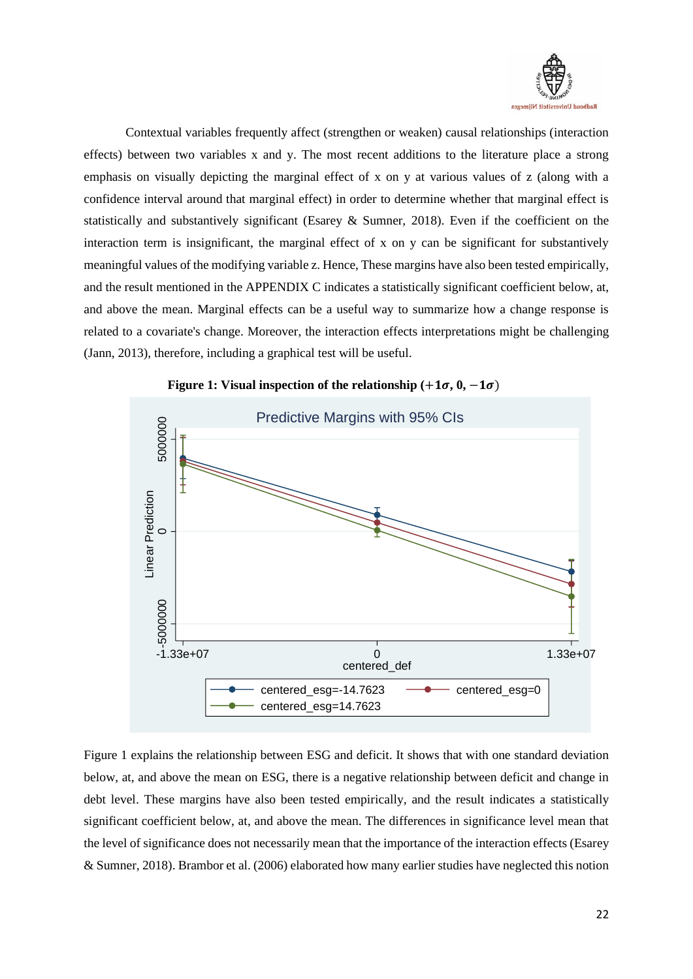

Contextual variables frequently affect (strengthen or weaken) causal relationships (interaction effects) between two variables x and y. The most recent additions to the literature place a strong emphasis on visually depicting the marginal effect of x on y at various values of z (along with a confidence interval around that marginal effect) in order to determine whether that marginal effect is statistically and substantively significant (Esarey & Sumner, 2018). Even if the coefficient on the interaction term is insignificant, the marginal effect of x on y can be significant for substantively meaningful values of the modifying variable z. Hence, These margins have also been tested empirically, and the result mentioned in the APPENDIX C indicates a statistically significant coefficient below, at, and above the mean. Marginal effects can be a useful way to summarize how a change response is related to a covariate's change. Moreover, the interaction effects interpretations might be challenging (Jann, 2013), therefore, including a graphical test will be useful.



**Figure 1: Visual inspection of the relationship**  $(+1\sigma, 0, -1\sigma)$ 

Figure 1 explains the relationship between ESG and deficit. It shows that with one standard deviation below, at, and above the mean on ESG, there is a negative relationship between deficit and change in debt level. These margins have also been tested empirically, and the result indicates a statistically significant coefficient below, at, and above the mean. The differences in significance level mean that the level of significance does not necessarily mean that the importance of the interaction effects (Esarey & Sumner, 2018). Brambor et al. (2006) elaborated how many earlier studies have neglected this notion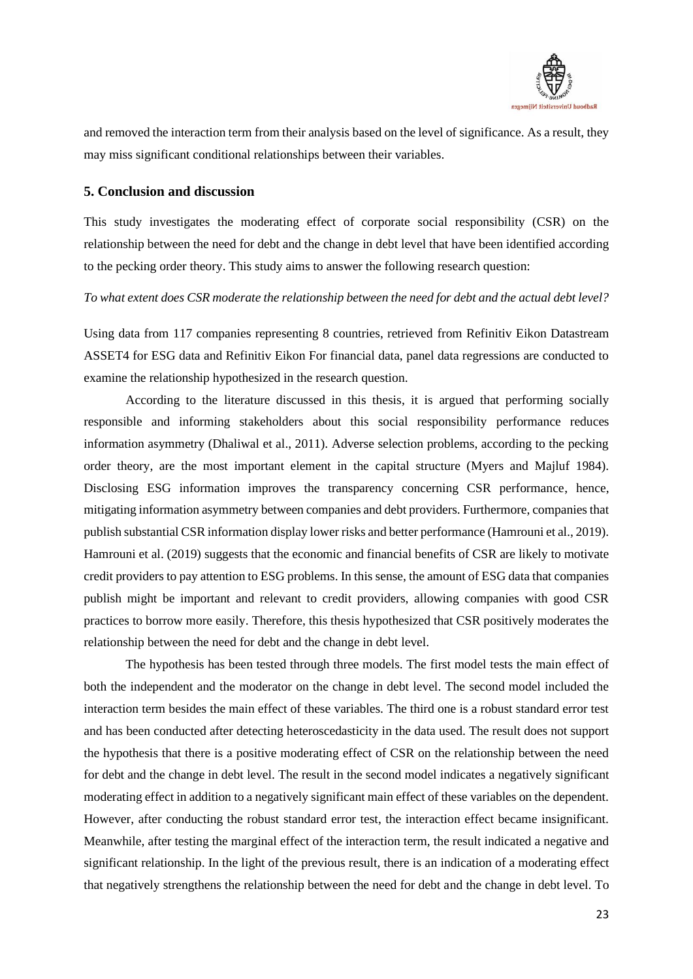

and removed the interaction term from their analysis based on the level of significance. As a result, they may miss significant conditional relationships between their variables.

# <span id="page-24-0"></span>**5. Conclusion and discussion**

This study investigates the moderating effect of corporate social responsibility (CSR) on the relationship between the need for debt and the change in debt level that have been identified according to the pecking order theory. This study aims to answer the following research question:

### *To what extent does CSR moderate the relationship between the need for debt and the actual debt level?*

Using data from 117 companies representing 8 countries, retrieved from Refinitiv Eikon Datastream ASSET4 for ESG data and Refinitiv Eikon For financial data, panel data regressions are conducted to examine the relationship hypothesized in the research question.

According to the literature discussed in this thesis, it is argued that performing socially responsible and informing stakeholders about this social responsibility performance reduces information asymmetry (Dhaliwal et al., 2011). Adverse selection problems, according to the pecking order theory, are the most important element in the capital structure (Myers and Majluf 1984). Disclosing ESG information improves the transparency concerning CSR performance, hence, mitigating information asymmetry between companies and debt providers. Furthermore, companies that publish substantial CSR information display lower risks and better performance (Hamrouni et al., 2019). Hamrouni et al. (2019) suggests that the economic and financial benefits of CSR are likely to motivate credit providers to pay attention to ESG problems. In this sense, the amount of ESG data that companies publish might be important and relevant to credit providers, allowing companies with good CSR practices to borrow more easily. Therefore, this thesis hypothesized that CSR positively moderates the relationship between the need for debt and the change in debt level.

The hypothesis has been tested through three models. The first model tests the main effect of both the independent and the moderator on the change in debt level. The second model included the interaction term besides the main effect of these variables. The third one is a robust standard error test and has been conducted after detecting heteroscedasticity in the data used. The result does not support the hypothesis that there is a positive moderating effect of CSR on the relationship between the need for debt and the change in debt level. The result in the second model indicates a negatively significant moderating effect in addition to a negatively significant main effect of these variables on the dependent. However, after conducting the robust standard error test, the interaction effect became insignificant. Meanwhile, after testing the marginal effect of the interaction term, the result indicated a negative and significant relationship. In the light of the previous result, there is an indication of a moderating effect that negatively strengthens the relationship between the need for debt and the change in debt level. To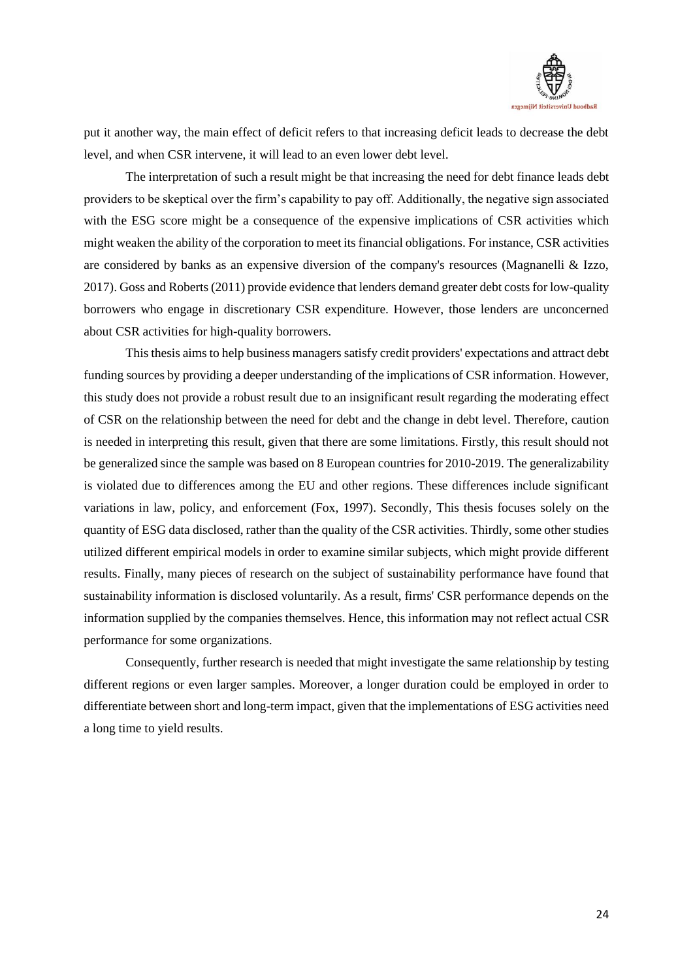

put it another way, the main effect of deficit refers to that increasing deficit leads to decrease the debt level, and when CSR intervene, it will lead to an even lower debt level.

The interpretation of such a result might be that increasing the need for debt finance leads debt providers to be skeptical over the firm's capability to pay off. Additionally, the negative sign associated with the ESG score might be a consequence of the expensive implications of CSR activities which might weaken the ability of the corporation to meet its financial obligations. For instance, CSR activities are considered by banks as an expensive diversion of the company's resources (Magnanelli & Izzo, 2017). Goss and Roberts (2011) provide evidence that lenders demand greater debt costs for low-quality borrowers who engage in discretionary CSR expenditure. However, those lenders are unconcerned about CSR activities for high-quality borrowers.

This thesis aims to help business managers satisfy credit providers' expectations and attract debt funding sources by providing a deeper understanding of the implications of CSR information. However, this study does not provide a robust result due to an insignificant result regarding the moderating effect of CSR on the relationship between the need for debt and the change in debt level. Therefore, caution is needed in interpreting this result, given that there are some limitations. Firstly, this result should not be generalized since the sample was based on 8 European countries for 2010-2019. The generalizability is violated due to differences among the EU and other regions. These differences include significant variations in law, policy, and enforcement (Fox, 1997). Secondly, This thesis focuses solely on the quantity of ESG data disclosed, rather than the quality of the CSR activities. Thirdly, some other studies utilized different empirical models in order to examine similar subjects, which might provide different results. Finally, many pieces of research on the subject of sustainability performance have found that sustainability information is disclosed voluntarily. As a result, firms' CSR performance depends on the information supplied by the companies themselves. Hence, this information may not reflect actual CSR performance for some organizations.

Consequently, further research is needed that might investigate the same relationship by testing different regions or even larger samples. Moreover, a longer duration could be employed in order to differentiate between short and long-term impact, given that the implementations of ESG activities need a long time to yield results.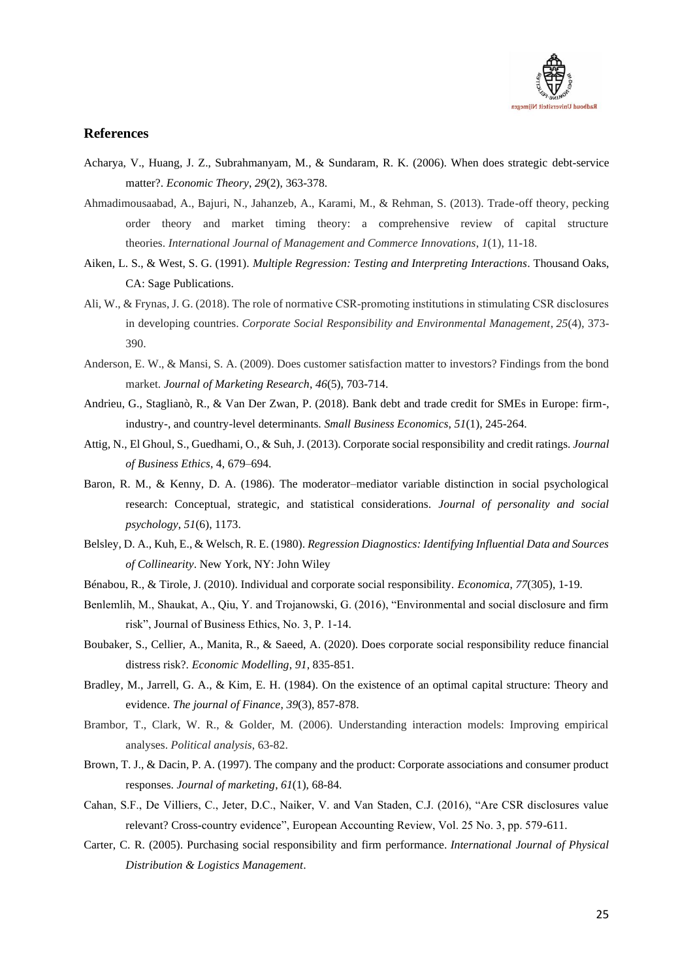

### <span id="page-26-0"></span>**References**

- Acharya, V., Huang, J. Z., Subrahmanyam, M., & Sundaram, R. K. (2006). When does strategic debt-service matter?. *Economic Theory*, *29*(2), 363-378.
- Ahmadimousaabad, A., Bajuri, N., Jahanzeb, A., Karami, M., & Rehman, S. (2013). Trade-off theory, pecking order theory and market timing theory: a comprehensive review of capital structure theories. *International Journal of Management and Commerce Innovations*, *1*(1), 11-18.
- Aiken, L. S., & West, S. G. (1991). *Multiple Regression: Testing and Interpreting Interactions*. Thousand Oaks, CA: Sage Publications.
- Ali, W., & Frynas, J. G. (2018). The role of normative CSR‐promoting institutions in stimulating CSR disclosures in developing countries. *Corporate Social Responsibility and Environmental Management*, *25*(4), 373- 390.
- Anderson, E. W., & Mansi, S. A. (2009). Does customer satisfaction matter to investors? Findings from the bond market. *Journal of Marketing Research*, *46*(5), 703-714.
- Andrieu, G., Staglianò, R., & Van Der Zwan, P. (2018). Bank debt and trade credit for SMEs in Europe: firm-, industry-, and country-level determinants. *Small Business Economics*, *51*(1), 245-264.
- Attig, N., El Ghoul, S., Guedhami, O., & Suh, J. (2013). Corporate social responsibility and credit ratings. *Journal of Business Ethics*, 4, 679–694.
- Baron, R. M., & Kenny, D. A. (1986). The moderator–mediator variable distinction in social psychological research: Conceptual, strategic, and statistical considerations. *Journal of personality and social psychology*, *51*(6), 1173.
- Belsley, D. A., Kuh, E., & Welsch, R. E. (1980). *Regression Diagnostics: Identifying Influential Data and Sources of Collinearity*. New York, NY: John Wiley
- Bénabou, R., & Tirole, J. (2010). Individual and corporate social responsibility. *Economica*, *77*(305), 1-19.
- Benlemlih, M., Shaukat, A., Qiu, Y. and Trojanowski, G. (2016), "Environmental and social disclosure and firm risk", Journal of Business Ethics, No. 3, P. 1-14.
- Boubaker, S., Cellier, A., Manita, R., & Saeed, A. (2020). Does corporate social responsibility reduce financial distress risk?. *Economic Modelling*, *91*, 835-851.
- Bradley, M., Jarrell, G. A., & Kim, E. H. (1984). On the existence of an optimal capital structure: Theory and evidence. *The journal of Finance*, *39*(3), 857-878.
- Brambor, T., Clark, W. R., & Golder, M. (2006). Understanding interaction models: Improving empirical analyses. *Political analysis*, 63-82.
- Brown, T. J., & Dacin, P. A. (1997). The company and the product: Corporate associations and consumer product responses. *Journal of marketing*, *61*(1), 68-84.
- Cahan, S.F., De Villiers, C., Jeter, D.C., Naiker, V. and Van Staden, C.J. (2016), "Are CSR disclosures value relevant? Cross-country evidence", European Accounting Review, Vol. 25 No. 3, pp. 579-611.
- Carter, C. R. (2005). Purchasing social responsibility and firm performance. *International Journal of Physical Distribution & Logistics Management*.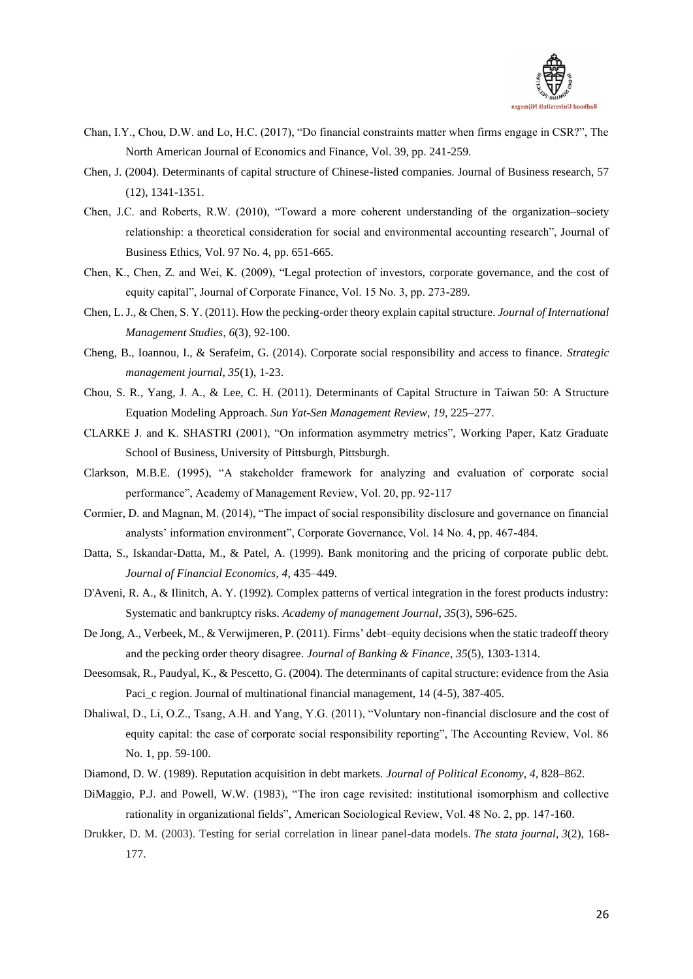

- Chan, I.Y., Chou, D.W. and Lo, H.C. (2017), "Do financial constraints matter when firms engage in CSR?", The North American Journal of Economics and Finance, Vol. 39, pp. 241-259.
- Chen, J. (2004). Determinants of capital structure of Chinese-listed companies. Journal of Business research, 57 (12), 1341-1351.
- Chen, J.C. and Roberts, R.W. (2010), "Toward a more coherent understanding of the organization–society relationship: a theoretical consideration for social and environmental accounting research", Journal of Business Ethics, Vol. 97 No. 4, pp. 651-665.
- Chen, K., Chen, Z. and Wei, K. (2009), "Legal protection of investors, corporate governance, and the cost of equity capital", Journal of Corporate Finance, Vol. 15 No. 3, pp. 273-289.
- Chen, L. J., & Chen, S. Y. (2011). How the pecking-order theory explain capital structure. *Journal of International Management Studies*, *6*(3), 92-100.
- Cheng, B., Ioannou, I., & Serafeim, G. (2014). Corporate social responsibility and access to finance. *Strategic management journal*, *35*(1), 1-23.
- Chou, S. R., Yang, J. A., & Lee, C. H. (2011). Determinants of Capital Structure in Taiwan 50: A Structure Equation Modeling Approach. *Sun Yat-Sen Management Review*, *19*, 225–277.
- CLARKE J. and K. SHASTRI (2001), "On information asymmetry metrics", Working Paper, Katz Graduate School of Business, University of Pittsburgh, Pittsburgh.
- Clarkson, M.B.E. (1995), "A stakeholder framework for analyzing and evaluation of corporate social performance", Academy of Management Review, Vol. 20, pp. 92-117
- Cormier, D. and Magnan, M. (2014), "The impact of social responsibility disclosure and governance on financial analysts' information environment", Corporate Governance, Vol. 14 No. 4, pp. 467-484.
- Datta, S., Iskandar-Datta, M., & Patel, A. (1999). Bank monitoring and the pricing of corporate public debt. *Journal of Financial Economics*, *4*, 435–449.
- D'Aveni, R. A., & Ilinitch, A. Y. (1992). Complex patterns of vertical integration in the forest products industry: Systematic and bankruptcy risks. *Academy of management Journal*, *35*(3), 596-625.
- De Jong, A., Verbeek, M., & Verwijmeren, P. (2011). Firms' debt–equity decisions when the static tradeoff theory and the pecking order theory disagree. *Journal of Banking & Finance*, *35*(5), 1303-1314.
- Deesomsak, R., Paudyal, K., & Pescetto, G. (2004). The determinants of capital structure: evidence from the Asia Paci\_c region. Journal of multinational financial management, 14 (4-5), 387-405.
- Dhaliwal, D., Li, O.Z., Tsang, A.H. and Yang, Y.G. (2011), "Voluntary non-financial disclosure and the cost of equity capital: the case of corporate social responsibility reporting", The Accounting Review, Vol. 86 No. 1, pp. 59-100.
- Diamond, D. W. (1989). Reputation acquisition in debt markets. *Journal of Political Economy*, *4*, 828–862.
- DiMaggio, P.J. and Powell, W.W. (1983), "The iron cage revisited: institutional isomorphism and collective rationality in organizational fields", American Sociological Review, Vol. 48 No. 2, pp. 147-160.
- Drukker, D. M. (2003). Testing for serial correlation in linear panel-data models. *The stata journal*, *3*(2), 168- 177.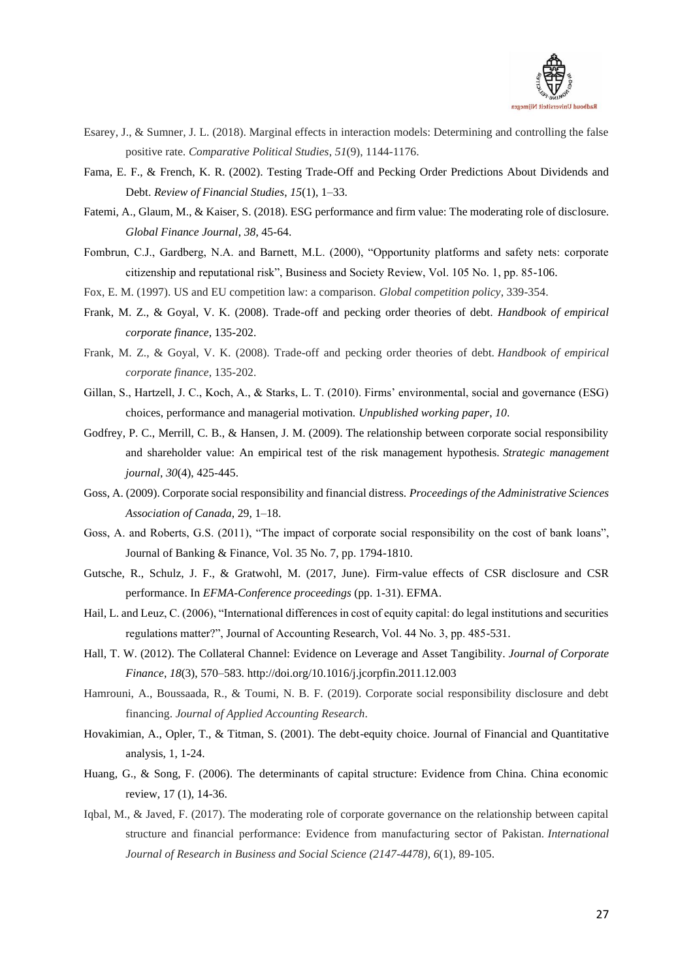

- Esarey, J., & Sumner, J. L. (2018). Marginal effects in interaction models: Determining and controlling the false positive rate. *Comparative Political Studies*, *51*(9), 1144-1176.
- Fama, E. F., & French, K. R. (2002). Testing Trade-Off and Pecking Order Predictions About Dividends and Debt. *Review of Financial Studies*, *15*(1), 1–33.
- Fatemi, A., Glaum, M., & Kaiser, S. (2018). ESG performance and firm value: The moderating role of disclosure. *Global Finance Journal*, *38*, 45-64.
- Fombrun, C.J., Gardberg, N.A. and Barnett, M.L. (2000), "Opportunity platforms and safety nets: corporate citizenship and reputational risk", Business and Society Review, Vol. 105 No. 1, pp. 85-106.
- Fox, E. M. (1997). US and EU competition law: a comparison. *Global competition policy*, 339-354.
- Frank, M. Z., & Goyal, V. K. (2008). Trade-off and pecking order theories of debt. *Handbook of empirical corporate finance*, 135-202.
- Frank, M. Z., & Goyal, V. K. (2008). Trade-off and pecking order theories of debt. *Handbook of empirical corporate finance*, 135-202.
- Gillan, S., Hartzell, J. C., Koch, A., & Starks, L. T. (2010). Firms' environmental, social and governance (ESG) choices, performance and managerial motivation. *Unpublished working paper*, *10*.
- Godfrey, P. C., Merrill, C. B., & Hansen, J. M. (2009). The relationship between corporate social responsibility and shareholder value: An empirical test of the risk management hypothesis. *Strategic management journal*, *30*(4), 425-445.
- Goss, A. (2009). Corporate social responsibility and financial distress. *Proceedings of the Administrative Sciences Association of Canada*, 29, 1–18.
- Goss, A. and Roberts, G.S. (2011), "The impact of corporate social responsibility on the cost of bank loans", Journal of Banking & Finance, Vol. 35 No. 7, pp. 1794-1810.
- Gutsche, R., Schulz, J. F., & Gratwοhl, Μ. (2017, June). Firm-value effects of CSR disclosure and CSR performance. In *EFMA-Conference proceedings* (pp. 1-31). EFMA.
- Hail, L. and Leuz, C. (2006), "International differences in cost of equity capital: do legal institutions and securities regulations matter?", Journal of Accounting Research, Vol. 44 No. 3, pp. 485-531.
- Hall, T. W. (2012). The Collateral Channel: Evidence on Leverage and Asset Tangibility. *Journal of Corporate Finance*, *18*(3), 570–583. http://doi.org/10.1016/j.jcorpfin.2011.12.003
- Hamrouni, A., Boussaada, R., & Toumi, N. B. F. (2019). Corporate social responsibility disclosure and debt financing. *Journal of Applied Accounting Research*.
- Hovakimian, A., Opler, T., & Titman, S. (2001). The debt-equity choice. Journal of Financial and Quantitative analysis, 1, 1-24.
- Huang, G., & Song, F. (2006). The determinants of capital structure: Evidence from China. China economic review, 17 (1), 14-36.
- Iqbal, M., & Javed, F. (2017). The moderating role of corporate governance on the relationship between capital structure and financial performance: Evidence from manufacturing sector of Pakistan. *International Journal of Research in Business and Social Science (2147-4478)*, *6*(1), 89-105.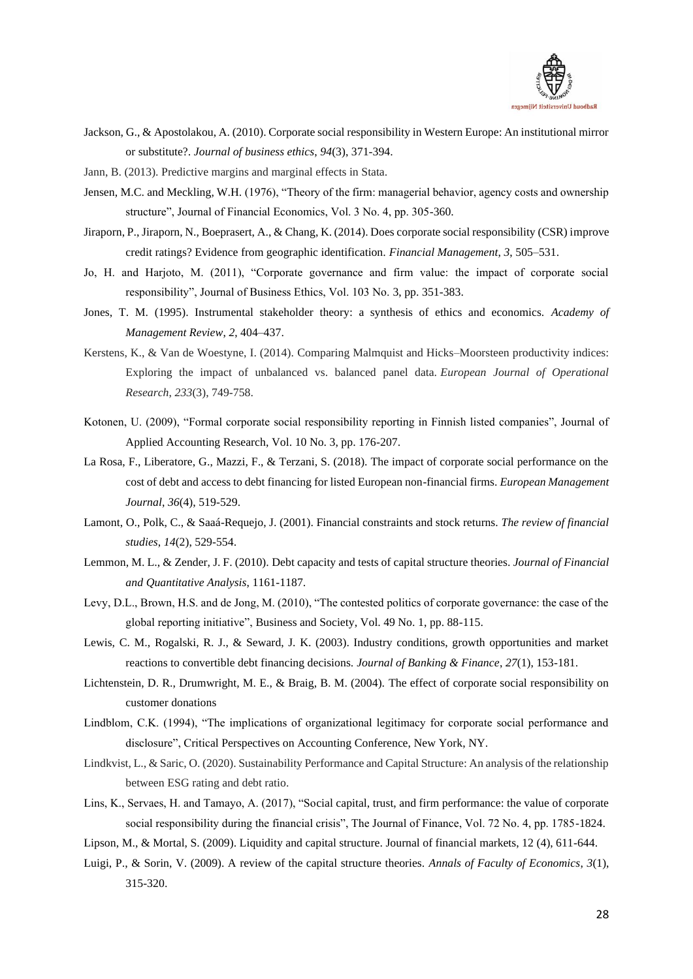

- Jackson, G., & Apostolakou, A. (2010). Corporate social responsibility in Western Europe: An institutional mirror or substitute?. *Journal of business ethics*, *94*(3), 371-394.
- Jann, B. (2013). Predictive margins and marginal effects in Stata.
- Jensen, M.C. and Meckling, W.H. (1976), "Theory of the firm: managerial behavior, agency costs and ownership structure", Journal of Financial Economics, Vol. 3 No. 4, pp. 305-360.
- Jiraporn, P., Jiraporn, N., Boeprasert, A., & Chang, K. (2014). Does corporate social responsibility (CSR) improve credit ratings? Evidence from geographic identification. *Financial Management*, *3*, 505–531.
- Jo, H. and Harjoto, M. (2011), "Corporate governance and firm value: the impact of corporate social responsibility", Journal of Business Ethics, Vol. 103 No. 3, pp. 351-383.
- Jones, T. M. (1995). Instrumental stakeholder theory: a synthesis of ethics and economics. *Academy of Management Review*, *2*, 404–437.
- Kerstens, K., & Van de Woestyne, I. (2014). Comparing Malmquist and Hicks–Moorsteen productivity indices: Exploring the impact of unbalanced vs. balanced panel data. *European Journal of Operational Research*, *233*(3), 749-758.
- Kotonen, U. (2009), "Formal corporate social responsibility reporting in Finnish listed companies", Journal of Applied Accounting Research, Vol. 10 No. 3, pp. 176-207.
- La Rosa, F., Liberatore, G., Mazzi, F., & Terzani, S. (2018). The impact of corporate social performance on the cost of debt and access to debt financing for listed European non-financial firms. *European Management Journal*, *36*(4), 519-529.
- Lamont, O., Polk, C., & Saaá-Requejo, J. (2001). Financial constraints and stock returns. *The review of financial studies*, *14*(2), 529-554.
- Lemmon, M. L., & Zender, J. F. (2010). Debt capacity and tests of capital structure theories. *Journal of Financial and Quantitative Analysis*, 1161-1187.
- Levy, D.L., Brown, H.S. and de Jong, M. (2010), "The contested politics of corporate governance: the case of the global reporting initiative", Business and Society, Vol. 49 No. 1, pp. 88-115.
- Lewis, C. M., Rogalski, R. J., & Seward, J. K. (2003). Industry conditions, growth opportunities and market reactions to convertible debt financing decisions. *Journal of Banking & Finance*, *27*(1), 153-181.
- Lichtenstein, D. R., Drumwright, M. E., & Braig, B. M. (2004). The effect of corporate social responsibility on customer donations
- Lindblom, C.K. (1994), "The implications of organizational legitimacy for corporate social performance and disclosure", Critical Perspectives on Accounting Conference, New York, NY.
- Lindkvist, L., & Saric, O. (2020). Sustainability Performance and Capital Structure: An analysis of the relationship between ESG rating and debt ratio.
- Lins, K., Servaes, H. and Tamayo, A. (2017), "Social capital, trust, and firm performance: the value of corporate social responsibility during the financial crisis", The Journal of Finance, Vol. 72 No. 4, pp. 1785-1824.
- Lipson, M., & Mortal, S. (2009). Liquidity and capital structure. Journal of financial markets, 12 (4), 611-644.
- Luigi, P., & Sorin, V. (2009). A review of the capital structure theories. *Annals of Faculty of Economics*, *3*(1), 315-320.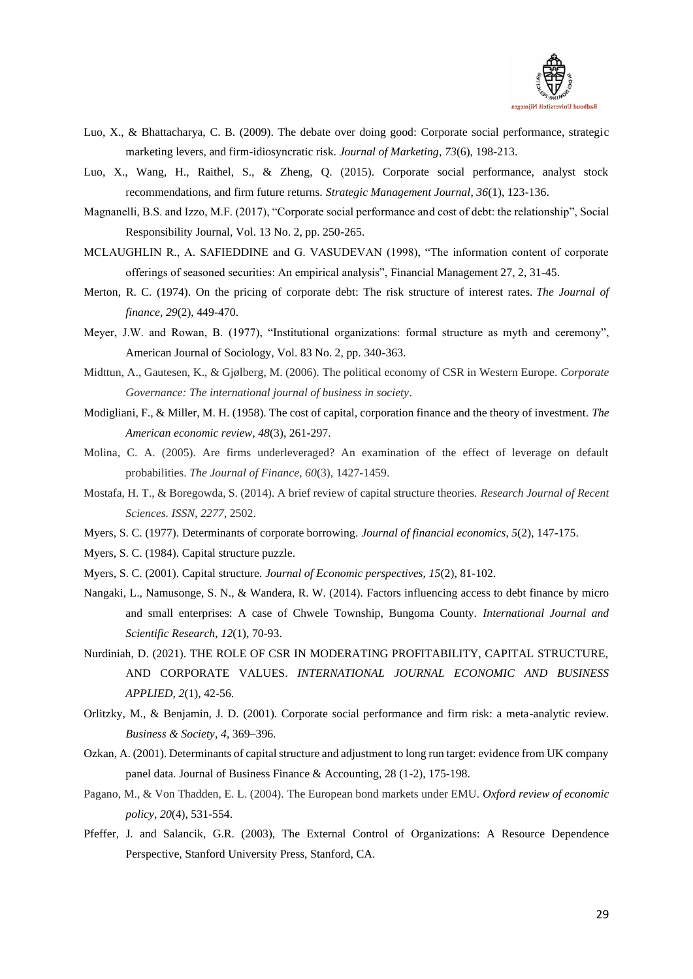

- Luo, X., & Bhattacharya, C. B. (2009). The debate over doing good: Corporate social performance, strategic marketing levers, and firm-idiosyncratic risk. *Journal of Marketing*, *73*(6), 198-213.
- Luo, X., Wang, H., Raithel, S., & Zheng, Q. (2015). Corporate social performance, analyst stock recommendations, and firm future returns. *Strategic Management Journal*, *36*(1), 123-136.
- Magnanelli, B.S. and Izzo, M.F. (2017), "Corporate social performance and cost of debt: the relationship", Social Responsibility Journal, Vol. 13 No. 2, pp. 250-265.
- MCLAUGHLIN R., A. SAFIEDDINE and G. VASUDEVAN (1998), "The information content of corporate offerings of seasoned securities: An empirical analysis", Financial Management 27, 2, 31-45.
- Merton, R. C. (1974). On the pricing of corporate debt: The risk structure of interest rates. *The Journal of finance*, *29*(2), 449-470.
- Meyer, J.W. and Rowan, B. (1977), "Institutional organizations: formal structure as myth and ceremony", American Journal of Sociology, Vol. 83 No. 2, pp. 340-363.
- Midttun, A., Gautesen, K., & Gjølberg, M. (2006). The political economy of CSR in Western Europe. *Corporate Governance: The international journal of business in society*.
- Modigliani, F., & Miller, M. H. (1958). The cost of capital, corporation finance and the theory of investment. *The American economic review*, *48*(3), 261-297.
- Molina, C. A. (2005). Are firms underleveraged? An examination of the effect of leverage on default probabilities. *The Journal of Finance*, *60*(3), 1427-1459.
- Mostafa, H. T., & Boregowda, S. (2014). A brief review of capital structure theories. *Research Journal of Recent Sciences. ISSN*, *2277*, 2502.
- Myers, S. C. (1977). Determinants of corporate borrowing. *Journal of financial economics*, *5*(2), 147-175.
- Myers, S. C. (1984). Capital structure puzzle.
- Myers, S. C. (2001). Capital structure. *Journal of Economic perspectives*, *15*(2), 81-102.
- Nangaki, L., Namusonge, S. N., & Wandera, R. W. (2014). Factors influencing access to debt finance by micro and small enterprises: A case of Chwele Township, Bungoma County. *International Journal and Scientific Research*, *12*(1), 70-93.
- Nurdiniah, D. (2021). THE ROLE OF CSR IN MODERATING PROFITABILITY, CAPITAL STRUCTURE, AND CORPORATE VALUES. *INTERNATIONAL JOURNAL ECONOMIC AND BUSINESS APPLIED*, *2*(1), 42-56.
- Orlitzky, M., & Benjamin, J. D. (2001). Corporate social performance and firm risk: a meta-analytic review. *Business & Society*, *4*, 369–396.
- Ozkan, A. (2001). Determinants of capital structure and adjustment to long run target: evidence from UK company panel data. Journal of Business Finance & Accounting, 28 (1-2), 175-198.
- Pagano, M., & Von Thadden, E. L. (2004). The European bond markets under EMU. *Oxford review of economic policy*, *20*(4), 531-554.
- Pfeffer, J. and Salancik, G.R. (2003), The External Control of Organizations: A Resource Dependence Perspective, Stanford University Press, Stanford, CA.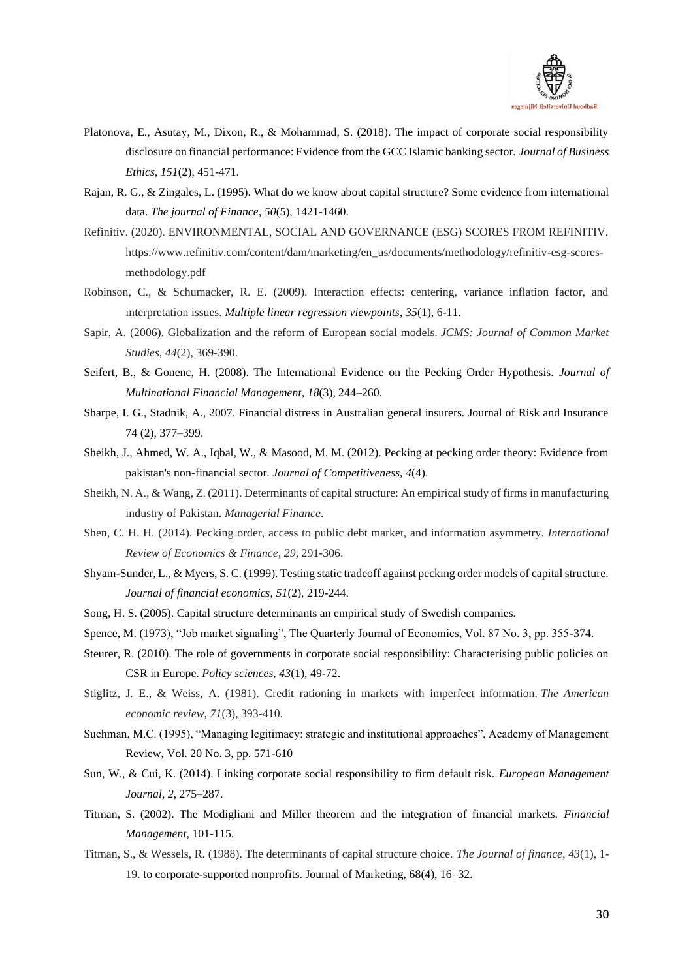

- Platonova, E., Asutay, M., Dixon, R., & Mohammad, S. (2018). The impact of corporate social responsibility disclosure on financial performance: Evidence from the GCC Islamic banking sector. *Journal of Business Ethics*, *151*(2), 451-471.
- Rajan, R. G., & Zingales, L. (1995). What do we know about capital structure? Some evidence from international data. *The journal of Finance*, *50*(5), 1421-1460.
- Refinitiv. (2020). ENVIRONMENTAL, SOCIAL AND GOVERNANCE (ESG) SCORES FROM REFINITIV. https://www.refinitiv.com/content/dam/marketing/en\_us/documents/methodology/refinitiv-esg-scoresmethodology.pdf
- Robinson, C., & Schumacker, R. E. (2009). Interaction effects: centering, variance inflation factor, and interpretation issues. *Multiple linear regression viewpoints*, *35*(1), 6-11.
- Sapir, A. (2006). Globalization and the reform of European social models. *JCMS: Journal of Common Market Studies*, *44*(2), 369-390.
- Seifert, B., & Gonenc, H. (2008). The International Evidence on the Pecking Order Hypothesis. *Journal of Multinational Financial Management*, *18*(3), 244–260.
- Sharpe, I. G., Stadnik, A., 2007. Financial distress in Australian general insurers. Journal of Risk and Insurance 74 (2), 377–399.
- Sheikh, J., Ahmed, W. A., Iqbal, W., & Masood, M. M. (2012). Pecking at pecking order theory: Evidence from pakistan's non-financial sector. *Journal of Competitiveness*, *4*(4).
- Sheikh, N. A., & Wang, Z. (2011). Determinants of capital structure: An empirical study of firms in manufacturing industry of Pakistan. *Managerial Finance*.
- Shen, C. H. H. (2014). Pecking order, access to public debt market, and information asymmetry. *International Review of Economics & Finance*, *29*, 291-306.
- Shyam-Sunder, L., & Myers, S. C. (1999). Testing static tradeoff against pecking order models of capital structure. *Journal of financial economics*, *51*(2), 219-244.
- Song, H. S. (2005). Capital structure determinants an empirical study of Swedish companies.
- Spence, M. (1973), "Job market signaling", The Quarterly Journal of Economics, Vol. 87 No. 3, pp. 355-374.
- Steurer, R. (2010). The role of governments in corporate social responsibility: Characterising public policies on CSR in Europe. *Policy sciences*, *43*(1), 49-72.
- Stiglitz, J. E., & Weiss, A. (1981). Credit rationing in markets with imperfect information. *The American economic review*, *71*(3), 393-410.
- Suchman, M.C. (1995), "Managing legitimacy: strategic and institutional approaches", Academy of Management Review, Vol. 20 No. 3, pp. 571-610
- Sun, W., & Cui, K. (2014). Linking corporate social responsibility to firm default risk. *European Management Journal*, *2*, 275–287.
- Titman, S. (2002). The Modigliani and Miller theorem and the integration of financial markets. *Financial Management*, 101-115.
- Titman, S., & Wessels, R. (1988). The determinants of capital structure choice. *The Journal of finance*, *43*(1), 1- 19. to corporate-supported nonprofits. Journal of Marketing, 68(4), 16–32.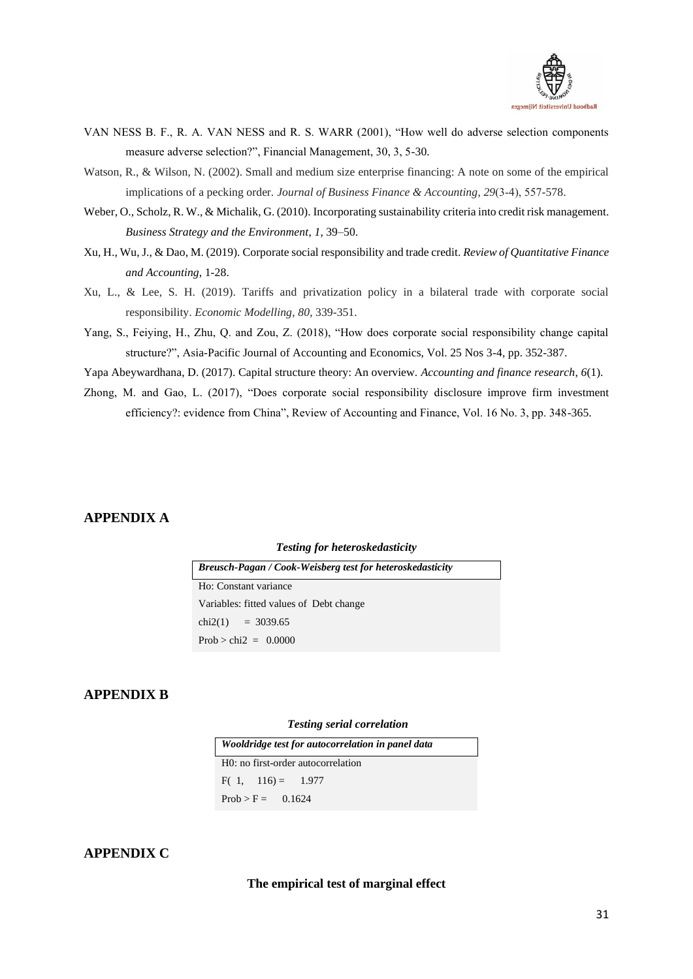

- VAN NESS B. F., R. A. VAN NESS and R. S. WARR (2001), "How well do adverse selection components measure adverse selection?", Financial Management, 30, 3, 5-30.
- Watson, R., & Wilson, N. (2002). Small and medium size enterprise financing: A note on some of the empirical implications of a pecking order. *Journal of Business Finance & Accounting*, *29*(3‐4), 557-578.
- Weber, O., Scholz, R. W., & Michalik, G. (2010). Incorporating sustainability criteria into credit risk management. *Business Strategy and the Environment*, *1*, 39–50.
- Xu, H., Wu, J., & Dao, M. (2019). Corporate social responsibility and trade credit. *Review of Quantitative Finance and Accounting*, 1-28.
- Xu, L., & Lee, S. H. (2019). Tariffs and privatization policy in a bilateral trade with corporate social responsibility. *Economic Modelling*, *80*, 339-351.
- Yang, S., Feiying, H., Zhu, Q. and Zou, Z. (2018), "How does corporate social responsibility change capital structure?", Asia-Pacific Journal of Accounting and Economics, Vol. 25 Nos 3-4, pp. 352-387.

Yapa Abeywardhana, D. (2017). Capital structure theory: An overview. *Accounting and finance research*, *6*(1).

Zhong, M. and Gao, L. (2017), "Does corporate social responsibility disclosure improve firm investment efficiency?: evidence from China", Review of Accounting and Finance, Vol. 16 No. 3, pp. 348-365.

# <span id="page-32-0"></span>**APPENDIX A**

### *Testing for heteroskedasticity*

| <b>Breusch-Pagan / Cook-Weisberg test for heteroskedasticity</b> |
|------------------------------------------------------------------|
| Ho: Constant variance                                            |
| Variables: fitted values of Debt change                          |
| chi2(1) = 3039.65                                                |
| Prob > chi2 = $0.0000$                                           |

# <span id="page-32-1"></span>**APPENDIX B**

#### *Testing serial correlation*

| Wooldridge test for autocorrelation in panel data |  |  |  |  |  |  |
|---------------------------------------------------|--|--|--|--|--|--|
| H0: no first-order autocorrelation                |  |  |  |  |  |  |
| $F(1, 116) = 1.977$                               |  |  |  |  |  |  |
| $Prob > F = 0.1624$                               |  |  |  |  |  |  |

## <span id="page-32-2"></span>**APPENDIX C**

### **The empirical test of marginal effect**